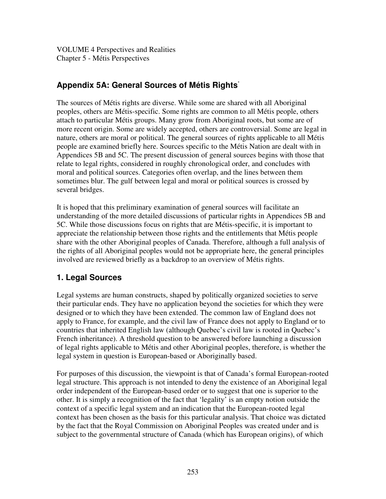VOLUME 4 Perspectives and Realities Chapter 5 - Métis Perspectives

## **Appendix 5A: General Sources of Métis Rights** \*

The sources of Métis rights are diverse. While some are shared with all Aboriginal peoples, others are Métis-specific. Some rights are common to all Métis people, others attach to particular Métis groups. Many grow from Aboriginal roots, but some are of more recent origin. Some are widely accepted, others are controversial. Some are legal in nature, others are moral or political. The general sources of rights applicable to all Métis people are examined briefly here. Sources specific to the Métis Nation are dealt with in Appendices 5B and 5C. The present discussion of general sources begins with those that relate to legal rights, considered in roughly chronological order, and concludes with moral and political sources. Categories often overlap, and the lines between them sometimes blur. The gulf between legal and moral or political sources is crossed by several bridges.

It is hoped that this preliminary examination of general sources will facilitate an understanding of the more detailed discussions of particular rights in Appendices 5B and 5C. While those discussions focus on rights that are Métis-specific, it is important to appreciate the relationship between those rights and the entitlements that Métis people share with the other Aboriginal peoples of Canada. Therefore, although a full analysis of the rights of all Aboriginal peoples would not be appropriate here, the general principles involved are reviewed briefly as a backdrop to an overview of Métis rights.

## **1. Legal Sources**

Legal systems are human constructs, shaped by politically organized societies to serve their particular ends. They have no application beyond the societies for which they were designed or to which they have been extended. The common law of England does not apply to France, for example, and the civil law of France does not apply to England or to countries that inherited English law (although Quebec's civil law is rooted in Quebec's French inheritance). A threshold question to be answered before launching a discussion of legal rights applicable to Métis and other Aboriginal peoples, therefore, is whether the legal system in question is European-based or Aboriginally based.

For purposes of this discussion, the viewpoint is that of Canada's formal European-rooted legal structure. This approach is not intended to deny the existence of an Aboriginal legal order independent of the European-based order or to suggest that one is superior to the other. It is simply a recognition of the fact that 'legality' is an empty notion outside the context of a specific legal system and an indication that the European-rooted legal context has been chosen as the basis for this particular analysis. That choice was dictated by the fact that the Royal Commission on Aboriginal Peoples was created under and is subject to the governmental structure of Canada (which has European origins), of which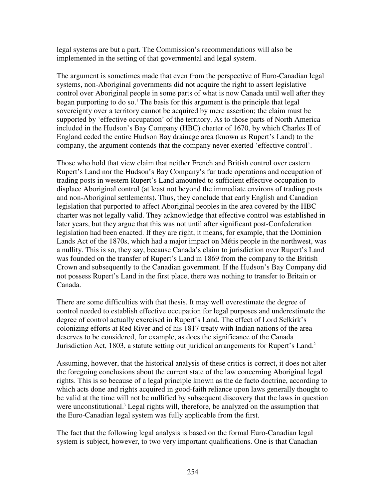legal systems are but a part. The Commission's recommendations will also be implemented in the setting of that governmental and legal system.

The argument is sometimes made that even from the perspective of Euro-Canadian legal systems, non-Aboriginal governments did not acquire the right to assert legislative control over Aboriginal people in some parts of what is now Canada until well after they began purporting to do so. <sup>1</sup> The basis for this argument is the principle that legal sovereignty over a territory cannot be acquired by mere assertion; the claim must be supported by 'effective occupation' of the territory. As to those parts of North America included in the Hudson's Bay Company (HBC) charter of 1670, by which Charles II of England ceded the entire Hudson Bay drainage area (known as Rupert's Land) to the company, the argument contends that the company never exerted 'effective control'.

Those who hold that view claim that neither French and British control over eastern Rupert's Land nor the Hudson's Bay Company's fur trade operations and occupation of trading posts in western Rupert's Land amounted to sufficient effective occupation to displace Aboriginal control (at least not beyond the immediate environs of trading posts and non-Aboriginal settlements). Thus, they conclude that early English and Canadian legislation that purported to affect Aboriginal peoples in the area covered by the HBC charter was not legally valid. They acknowledge that effective control was established in later years, but they argue that this was not until after significant post-Confederation legislation had been enacted. If they are right, it means, for example, that the Dominion Lands Act of the 1870s, which had a major impact on Métis people in the northwest, was a nullity. This is so, they say, because Canada's claim to jurisdiction over Rupert's Land was founded on the transfer of Rupert's Land in 1869 from the company to the British Crown and subsequently to the Canadian government. If the Hudson's Bay Company did not possess Rupert's Land in the first place, there was nothing to transfer to Britain or Canada.

There are some difficulties with that thesis. It may well overestimate the degree of control needed to establish effective occupation for legal purposes and underestimate the degree of control actually exercised in Rupert's Land. The effect of Lord Selkirk's colonizing efforts at Red River and of his 1817 treaty with Indian nations of the area deserves to be considered, for example, as does the significance of the Canada Jurisdiction Act, 1803, a statute setting out juridical arrangements for Rupert's Land.<sup>2</sup>

Assuming, however, that the historical analysis of these critics is correct, it does not alter the foregoing conclusions about the current state of the law concerning Aboriginal legal rights. This is so because of a legal principle known as the de facto doctrine, according to which acts done and rights acquired in good-faith reliance upon laws generally thought to be valid at the time will not be nullified by subsequent discovery that the laws in question were unconstitutional. <sup>3</sup> Legal rights will, therefore, be analyzed on the assumption that the Euro-Canadian legal system was fully applicable from the first.

The fact that the following legal analysis is based on the formal Euro-Canadian legal system is subject, however, to two very important qualifications. One is that Canadian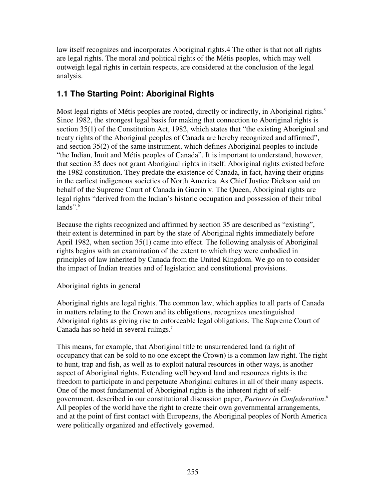law itself recognizes and incorporates Aboriginal rights.4 The other is that not all rights are legal rights. The moral and political rights of the Métis peoples, which may well outweigh legal rights in certain respects, are considered at the conclusion of the legal analysis.

## **1.1 The Starting Point: Aboriginal Rights**

Most legal rights of Métis peoples are rooted, directly or indirectly, in Aboriginal rights.<sup>5</sup> Since 1982, the strongest legal basis for making that connection to Aboriginal rights is section 35(1) of the Constitution Act, 1982, which states that "the existing Aboriginal and treaty rights of the Aboriginal peoples of Canada are hereby recognized and affirmed", and section 35(2) of the same instrument, which defines Aboriginal peoples to include "the Indian, Inuit and Métis peoples of Canada". It is important to understand, however, that section 35 does not grant Aboriginal rights in itself. Aboriginal rights existed before the 1982 constitution. They predate the existence of Canada, in fact, having their origins in the earliest indigenous societies of North America. As Chief Justice Dickson said on behalf of the Supreme Court of Canada in Guerin v. The Queen, Aboriginal rights are legal rights "derived from the Indian's historic occupation and possession of their tribal lands". 6

Because the rights recognized and affirmed by section 35 are described as "existing", their extent is determined in part by the state of Aboriginal rights immediately before April 1982, when section 35(1) came into effect. The following analysis of Aboriginal rights begins with an examination of the extent to which they were embodied in principles of law inherited by Canada from the United Kingdom. We go on to consider the impact of Indian treaties and of legislation and constitutional provisions.

#### Aboriginal rights in general

Aboriginal rights are legal rights. The common law, which applies to all parts of Canada in matters relating to the Crown and its obligations, recognizes unextinguished Aboriginal rights as giving rise to enforceable legal obligations. The Supreme Court of Canada has so held in several rulings. 7

This means, for example, that Aboriginal title to unsurrendered land (a right of occupancy that can be sold to no one except the Crown) is a common law right. The right to hunt, trap and fish, as well as to exploit natural resources in other ways, is another aspect of Aboriginal rights. Extending well beyond land and resources rights is the freedom to participate in and perpetuate Aboriginal cultures in all of their many aspects. One of the most fundamental of Aboriginal rights is the inherent right of selfgovernment, described in our constitutional discussion paper, *Partners in Confederation*. 8 All peoples of the world have the right to create their own governmental arrangements, and at the point of first contact with Europeans, the Aboriginal peoples of North America were politically organized and effectively governed.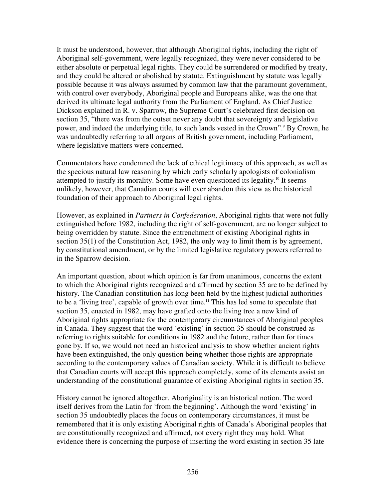It must be understood, however, that although Aboriginal rights, including the right of Aboriginal self-government, were legally recognized, they were never considered to be either absolute or perpetual legal rights. They could be surrendered or modified by treaty, and they could be altered or abolished by statute. Extinguishment by statute was legally possible because it was always assumed by common law that the paramount government, with control over everybody, Aboriginal people and Europeans alike, was the one that derived its ultimate legal authority from the Parliament of England. As Chief Justice Dickson explained in R. v. Sparrow, the Supreme Court's celebrated first decision on section 35, "there was from the outset never any doubt that sovereignty and legislative power, and indeed the underlying title, to such lands vested in the Crown".<sup>9</sup> By Crown, he was undoubtedly referring to all organs of British government, including Parliament, where legislative matters were concerned.

Commentators have condemned the lack of ethical legitimacy of this approach, as well as the specious natural law reasoning by which early scholarly apologists of colonialism attempted to justify its morality. Some have even questioned its legality.<sup>10</sup> It seems unlikely, however, that Canadian courts will ever abandon this view as the historical foundation of their approach to Aboriginal legal rights.

However, as explained in *Partners in Confederation*, Aboriginal rights that were not fully extinguished before 1982, including the right of self-government, are no longer subject to being overridden by statute. Since the entrenchment of existing Aboriginal rights in section 35(1) of the Constitution Act, 1982, the only way to limit them is by agreement, by constitutional amendment, or by the limited legislative regulatory powers referred to in the Sparrow decision.

An important question, about which opinion is far from unanimous, concerns the extent to which the Aboriginal rights recognized and affirmed by section 35 are to be defined by history. The Canadian constitution has long been held by the highest judicial authorities to be a 'living tree', capable of growth over time. <sup>11</sup> This has led some to speculate that section 35, enacted in 1982, may have grafted onto the living tree a new kind of Aboriginal rights appropriate for the contemporary circumstances of Aboriginal peoples in Canada. They suggest that the word 'existing' in section 35 should be construed as referring to rights suitable for conditions in 1982 and the future, rather than for times gone by. If so, we would not need an historical analysis to show whether ancient rights have been extinguished, the only question being whether those rights are appropriate according to the contemporary values of Canadian society. While it is difficult to believe that Canadian courts will accept this approach completely, some of its elements assist an understanding of the constitutional guarantee of existing Aboriginal rights in section 35.

History cannot be ignored altogether. Aboriginality is an historical notion. The word itself derives from the Latin for 'from the beginning'. Although the word 'existing' in section 35 undoubtedly places the focus on contemporary circumstances, it must be remembered that it is only existing Aboriginal rights of Canada's Aboriginal peoples that are constitutionally recognized and affirmed, not every right they may hold. What evidence there is concerning the purpose of inserting the word existing in section 35 late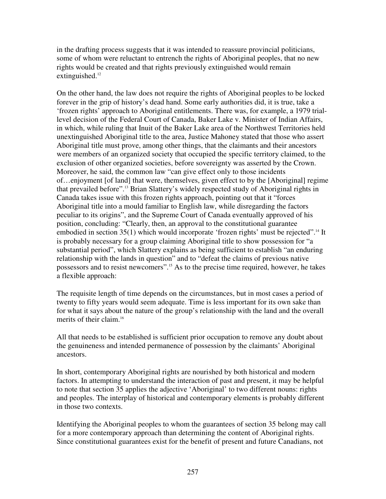in the drafting process suggests that it was intended to reassure provincial politicians, some of whom were reluctant to entrench the rights of Aboriginal peoples, that no new rights would be created and that rights previously extinguished would remain extinguished. 12

On the other hand, the law does not require the rights of Aboriginal peoples to be locked forever in the grip of history's dead hand. Some early authorities did, it is true, take a 'frozen rights' approach to Aboriginal entitlements. There was, for example, a 1979 triallevel decision of the Federal Court of Canada, Baker Lake v. Minister of Indian Affairs, in which, while ruling that Inuit of the Baker Lake area of the Northwest Territories held unextinguished Aboriginal title to the area, Justice Mahoney stated that those who assert Aboriginal title must prove, among other things, that the claimants and their ancestors were members of an organized society that occupied the specific territory claimed, to the exclusion of other organized societies, before sovereignty was asserted by the Crown. Moreover, he said, the common law "can give effect only to those incidents of…enjoyment [of land] that were, themselves, given effect to by the [Aboriginal] regime that prevailed before". <sup>13</sup> Brian Slattery's widely respected study of Aboriginal rights in Canada takes issue with this frozen rights approach, pointing out that it "forces Aboriginal title into a mould familiar to English law, while disregarding the factors peculiar to its origins", and the Supreme Court of Canada eventually approved of his position, concluding: "Clearly, then, an approval to the constitutional guarantee embodied in section 35(1) which would incorporate 'frozen rights' must be rejected".<sup>14</sup> It is probably necessary for a group claiming Aboriginal title to show possession for "a substantial period", which Slattery explains as being sufficient to establish "an enduring relationship with the lands in question" and to "defeat the claims of previous native possessors and to resist newcomers". <sup>15</sup> As to the precise time required, however, he takes a flexible approach:

The requisite length of time depends on the circumstances, but in most cases a period of twenty to fifty years would seem adequate. Time is less important for its own sake than for what it says about the nature of the group's relationship with the land and the overall merits of their claim. 16

All that needs to be established is sufficient prior occupation to remove any doubt about the genuineness and intended permanence of possession by the claimants' Aboriginal ancestors.

In short, contemporary Aboriginal rights are nourished by both historical and modern factors. In attempting to understand the interaction of past and present, it may be helpful to note that section 35 applies the adjective 'Aboriginal' to two different nouns: rights and peoples. The interplay of historical and contemporary elements is probably different in those two contexts.

Identifying the Aboriginal peoples to whom the guarantees of section 35 belong may call for a more contemporary approach than determining the content of Aboriginal rights. Since constitutional guarantees exist for the benefit of present and future Canadians, not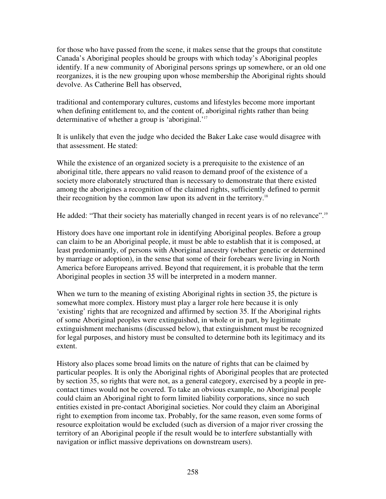for those who have passed from the scene, it makes sense that the groups that constitute Canada's Aboriginal peoples should be groups with which today's Aboriginal peoples identify. If a new community of Aboriginal persons springs up somewhere, or an old one reorganizes, it is the new grouping upon whose membership the Aboriginal rights should devolve. As Catherine Bell has observed,

traditional and contemporary cultures, customs and lifestyles become more important when defining entitlement to, and the content of, aboriginal rights rather than being determinative of whether a group is 'aboriginal.' 17

It is unlikely that even the judge who decided the Baker Lake case would disagree with that assessment. He stated:

While the existence of an organized society is a prerequisite to the existence of an aboriginal title, there appears no valid reason to demand proof of the existence of a society more elaborately structured than is necessary to demonstrate that there existed among the aborigines a recognition of the claimed rights, sufficiently defined to permit their recognition by the common law upon its advent in the territory.<sup>18</sup>

He added: "That their society has materially changed in recent years is of no relevance".<sup>19</sup>

History does have one important role in identifying Aboriginal peoples. Before a group can claim to be an Aboriginal people, it must be able to establish that it is composed, at least predominantly, of persons with Aboriginal ancestry (whether genetic or determined by marriage or adoption), in the sense that some of their forebears were living in North America before Europeans arrived. Beyond that requirement, it is probable that the term Aboriginal peoples in section 35 will be interpreted in a modern manner.

When we turn to the meaning of existing Aboriginal rights in section 35, the picture is somewhat more complex. History must play a larger role here because it is only 'existing' rights that are recognized and affirmed by section 35. If the Aboriginal rights of some Aboriginal peoples were extinguished, in whole or in part, by legitimate extinguishment mechanisms (discussed below), that extinguishment must be recognized for legal purposes, and history must be consulted to determine both its legitimacy and its extent.

History also places some broad limits on the nature of rights that can be claimed by particular peoples. It is only the Aboriginal rights of Aboriginal peoples that are protected by section 35, so rights that were not, as a general category, exercised by a people in precontact times would not be covered. To take an obvious example, no Aboriginal people could claim an Aboriginal right to form limited liability corporations, since no such entities existed in pre-contact Aboriginal societies. Nor could they claim an Aboriginal right to exemption from income tax. Probably, for the same reason, even some forms of resource exploitation would be excluded (such as diversion of a major river crossing the territory of an Aboriginal people if the result would be to interfere substantially with navigation or inflict massive deprivations on downstream users).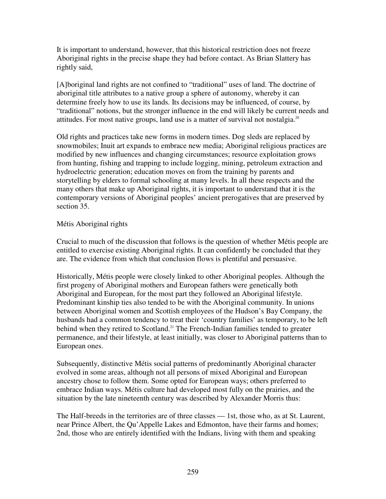It is important to understand, however, that this historical restriction does not freeze Aboriginal rights in the precise shape they had before contact. As Brian Slattery has rightly said,

[A]boriginal land rights are not confined to "traditional" uses of land. The doctrine of aboriginal title attributes to a native group a sphere of autonomy, whereby it can determine freely how to use its lands. Its decisions may be influenced, of course, by "traditional" notions, but the stronger influence in the end will likely be current needs and attitudes. For most native groups, land use is a matter of survival not nostalgia.<sup>20</sup>

Old rights and practices take new forms in modern times. Dog sleds are replaced by snowmobiles; Inuit art expands to embrace new media; Aboriginal religious practices are modified by new influences and changing circumstances; resource exploitation grows from hunting, fishing and trapping to include logging, mining, petroleum extraction and hydroelectric generation; education moves on from the training by parents and storytelling by elders to formal schooling at many levels. In all these respects and the many others that make up Aboriginal rights, it is important to understand that it is the contemporary versions of Aboriginal peoples' ancient prerogatives that are preserved by section 35.

#### Métis Aboriginal rights

Crucial to much of the discussion that follows is the question of whether Métis people are entitled to exercise existing Aboriginal rights. It can confidently be concluded that they are. The evidence from which that conclusion flows is plentiful and persuasive.

Historically, Métis people were closely linked to other Aboriginal peoples. Although the first progeny of Aboriginal mothers and European fathers were genetically both Aboriginal and European, for the most part they followed an Aboriginal lifestyle. Predominant kinship ties also tended to be with the Aboriginal community. In unions between Aboriginal women and Scottish employees of the Hudson's Bay Company, the husbands had a common tendency to treat their 'country families' as temporary, to be left behind when they retired to Scotland.<sup>21</sup> The French-Indian families tended to greater permanence, and their lifestyle, at least initially, was closer to Aboriginal patterns than to European ones.

Subsequently, distinctive Métis social patterns of predominantly Aboriginal character evolved in some areas, although not all persons of mixed Aboriginal and European ancestry chose to follow them. Some opted for European ways; others preferred to embrace Indian ways. Métis culture had developed most fully on the prairies, and the situation by the late nineteenth century was described by Alexander Morris thus:

The Half-breeds in the territories are of three classes — 1st, those who, as at St. Laurent, near Prince Albert, the Qu'Appelle Lakes and Edmonton, have their farms and homes; 2nd, those who are entirely identified with the Indians, living with them and speaking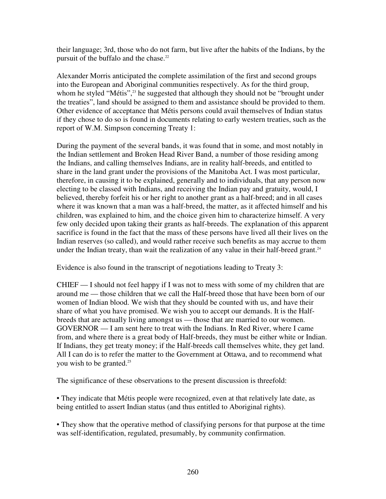their language; 3rd, those who do not farm, but live after the habits of the Indians, by the pursuit of the buffalo and the chase.<sup>22</sup>

Alexander Morris anticipated the complete assimilation of the first and second groups into the European and Aboriginal communities respectively. As for the third group, whom he styled "Métis",<sup>23</sup> he suggested that although they should not be "brought under the treaties", land should be assigned to them and assistance should be provided to them. Other evidence of acceptance that Métis persons could avail themselves of Indian status if they chose to do so is found in documents relating to early western treaties, such as the report of W.M. Simpson concerning Treaty 1:

During the payment of the several bands, it was found that in some, and most notably in the Indian settlement and Broken Head River Band, a number of those residing among the Indians, and calling themselves Indians, are in reality half-breeds, and entitled to share in the land grant under the provisions of the Manitoba Act. I was most particular, therefore, in causing it to be explained, generally and to individuals, that any person now electing to be classed with Indians, and receiving the Indian pay and gratuity, would, I believed, thereby forfeit his or her right to another grant as a half-breed; and in all cases where it was known that a man was a half-breed, the matter, as it affected himself and his children, was explained to him, and the choice given him to characterize himself. A very few only decided upon taking their grants as half-breeds. The explanation of this apparent sacrifice is found in the fact that the mass of these persons have lived all their lives on the Indian reserves (so called), and would rather receive such benefits as may accrue to them under the Indian treaty, than wait the realization of any value in their half-breed grant.<sup>24</sup>

Evidence is also found in the transcript of negotiations leading to Treaty 3:

 $CHIEF \sim I$  should not feel happy if I was not to mess with some of my children that are around me — those children that we call the Half-breed those that have been born of our women of Indian blood. We wish that they should be counted with us, and have their share of what you have promised. We wish you to accept our demands. It is the Halfbreeds that are actually living amongst us — those that are married to our women. GOVERNOR — I am sent here to treat with the Indians. In Red River, where I came from, and where there is a great body of Half-breeds, they must be either white or Indian. If Indians, they get treaty money; if the Half-breeds call themselves white, they get land. All I can do is to refer the matter to the Government at Ottawa, and to recommend what you wish to be granted. 25

The significance of these observations to the present discussion is threefold:

• They indicate that Métis people were recognized, even at that relatively late date, as being entitled to assert Indian status (and thus entitled to Aboriginal rights).

• They show that the operative method of classifying persons for that purpose at the time was self-identification, regulated, presumably, by community confirmation.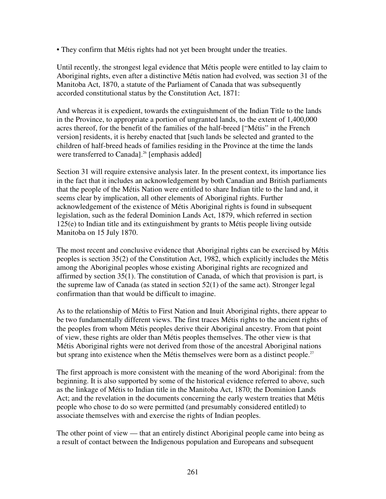• They confirm that Métis rights had not yet been brought under the treaties.

Until recently, the strongest legal evidence that Métis people were entitled to lay claim to Aboriginal rights, even after a distinctive Métis nation had evolved, was section 31 of the Manitoba Act, 1870, a statute of the Parliament of Canada that was subsequently accorded constitutional status by the Constitution Act, 1871:

And whereas it is expedient, towards the extinguishment of the Indian Title to the lands in the Province, to appropriate a portion of ungranted lands, to the extent of 1,400,000 acres thereof, for the benefit of the families of the half-breed ["Métis" in the French version] residents, it is hereby enacted that [such lands be selected and granted to the children of half-breed heads of families residing in the Province at the time the lands were transferred to Canada]. 26 [emphasis added]

Section 31 will require extensive analysis later. In the present context, its importance lies in the fact that it includes an acknowledgement by both Canadian and British parliaments that the people of the Métis Nation were entitled to share Indian title to the land and, it seems clear by implication, all other elements of Aboriginal rights. Further acknowledgement of the existence of Métis Aboriginal rights is found in subsequent legislation, such as the federal Dominion Lands Act, 1879, which referred in section 125(e) to Indian title and its extinguishment by grants to Métis people living outside Manitoba on 15 July 1870.

The most recent and conclusive evidence that Aboriginal rights can be exercised by Métis peoples is section 35(2) of the Constitution Act, 1982, which explicitly includes the Métis among the Aboriginal peoples whose existing Aboriginal rights are recognized and affirmed by section 35(1). The constitution of Canada, of which that provision is part, is the supreme law of Canada (as stated in section 52(1) of the same act). Stronger legal confirmation than that would be difficult to imagine.

As to the relationship of Métis to First Nation and Inuit Aboriginal rights, there appear to be two fundamentally different views. The first traces Métis rights to the ancient rights of the peoples from whom Métis peoples derive their Aboriginal ancestry. From that point of view, these rights are older than Métis peoples themselves. The other view is that Métis Aboriginal rights were not derived from those of the ancestral Aboriginal nations but sprang into existence when the Métis themselves were born as a distinct people.<sup>27</sup>

The first approach is more consistent with the meaning of the word Aboriginal: from the beginning. It is also supported by some of the historical evidence referred to above, such as the linkage of Métis to Indian title in the Manitoba Act, 1870; the Dominion Lands Act; and the revelation in the documents concerning the early western treaties that Métis people who chose to do so were permitted (and presumably considered entitled) to associate themselves with and exercise the rights of Indian peoples.

The other point of view — that an entirely distinct Aboriginal people came into being as a result of contact between the Indigenous population and Europeans and subsequent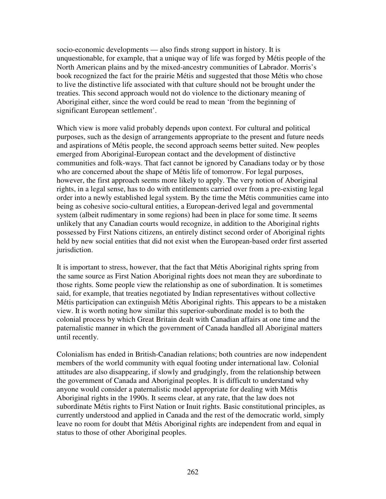socio-economic developments — also finds strong support in history. It is unquestionable, for example, that a unique way of life was forged by Métis people of the North American plains and by the mixed-ancestry communities of Labrador. Morris's book recognized the fact for the prairie Métis and suggested that those Métis who chose to live the distinctive life associated with that culture should not be brought under the treaties. This second approach would not do violence to the dictionary meaning of Aboriginal either, since the word could be read to mean 'from the beginning of significant European settlement'.

Which view is more valid probably depends upon context. For cultural and political purposes, such as the design of arrangements appropriate to the present and future needs and aspirations of Métis people, the second approach seems better suited. New peoples emerged from Aboriginal-European contact and the development of distinctive communities and folk-ways. That fact cannot be ignored by Canadians today or by those who are concerned about the shape of Métis life of tomorrow. For legal purposes, however, the first approach seems more likely to apply. The very notion of Aboriginal rights, in a legal sense, has to do with entitlements carried over from a pre-existing legal order into a newly established legal system. By the time the Métis communities came into being as cohesive socio-cultural entities, a European-derived legal and governmental system (albeit rudimentary in some regions) had been in place for some time. It seems unlikely that any Canadian courts would recognize, in addition to the Aboriginal rights possessed by First Nations citizens, an entirely distinct second order of Aboriginal rights held by new social entities that did not exist when the European-based order first asserted jurisdiction.

It is important to stress, however, that the fact that Métis Aboriginal rights spring from the same source as First Nation Aboriginal rights does not mean they are subordinate to those rights. Some people view the relationship as one of subordination. It is sometimes said, for example, that treaties negotiated by Indian representatives without collective Métis participation can extinguish Métis Aboriginal rights. This appears to be a mistaken view. It is worth noting how similar this superior-subordinate model is to both the colonial process by which Great Britain dealt with Canadian affairs at one time and the paternalistic manner in which the government of Canada handled all Aboriginal matters until recently.

Colonialism has ended in British-Canadian relations; both countries are now independent members of the world community with equal footing under international law. Colonial attitudes are also disappearing, if slowly and grudgingly, from the relationship between the government of Canada and Aboriginal peoples. It is difficult to understand why anyone would consider a paternalistic model appropriate for dealing with Métis Aboriginal rights in the 1990s. It seems clear, at any rate, that the law does not subordinate Métis rights to First Nation or Inuit rights. Basic constitutional principles, as currently understood and applied in Canada and the rest of the democratic world, simply leave no room for doubt that Métis Aboriginal rights are independent from and equal in status to those of other Aboriginal peoples.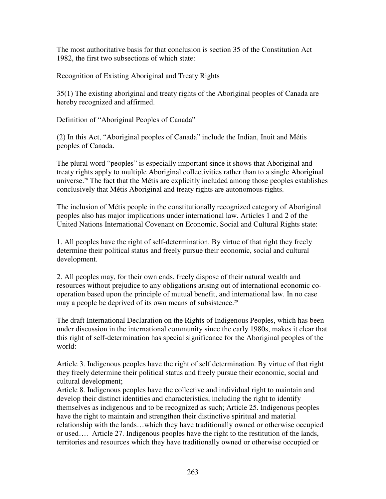The most authoritative basis for that conclusion is section 35 of the Constitution Act 1982, the first two subsections of which state:

Recognition of Existing Aboriginal and Treaty Rights

35(1) The existing aboriginal and treaty rights of the Aboriginal peoples of Canada are hereby recognized and affirmed.

Definition of "Aboriginal Peoples of Canada"

(2) In this Act, "Aboriginal peoples of Canada" include the Indian, Inuit and Métis peoples of Canada.

The plural word "peoples" is especially important since it shows that Aboriginal and treaty rights apply to multiple Aboriginal collectivities rather than to a single Aboriginal universe. <sup>28</sup> The fact that the Métis are explicitly included among those peoples establishes conclusively that Métis Aboriginal and treaty rights are autonomous rights.

The inclusion of Métis people in the constitutionally recognized category of Aboriginal peoples also has major implications under international law. Articles 1 and 2 of the United Nations International Covenant on Economic, Social and Cultural Rights state:

1. All peoples have the right of self-determination. By virtue of that right they freely determine their political status and freely pursue their economic, social and cultural development.

2. All peoples may, for their own ends, freely dispose of their natural wealth and resources without prejudice to any obligations arising out of international economic cooperation based upon the principle of mutual benefit, and international law. In no case may a people be deprived of its own means of subsistence.<sup>29</sup>

The draft International Declaration on the Rights of Indigenous Peoples, which has been under discussion in the international community since the early 1980s, makes it clear that this right of self-determination has special significance for the Aboriginal peoples of the world:

Article 3. Indigenous peoples have the right of self determination. By virtue of that right they freely determine their political status and freely pursue their economic, social and cultural development;

Article 8. Indigenous peoples have the collective and individual right to maintain and develop their distinct identities and characteristics, including the right to identify themselves as indigenous and to be recognized as such; Article 25. Indigenous peoples have the right to maintain and strengthen their distinctive spiritual and material relationship with the lands…which they have traditionally owned or otherwise occupied or used…. Article 27. Indigenous peoples have the right to the restitution of the lands, territories and resources which they have traditionally owned or otherwise occupied or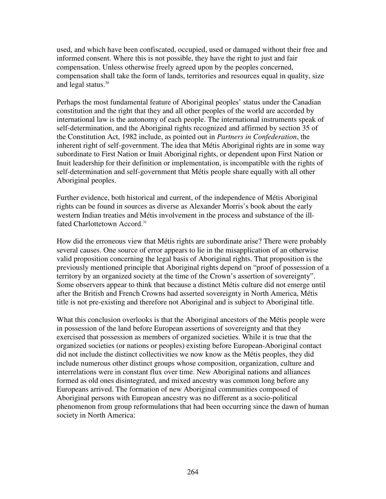used, and which have been confiscated, occupied, used or damaged without their free and informed consent. Where this is not possible, they have the right to just and fair compensation. Unless otherwise freely agreed upon by the peoples concerned, compensation shall take the form of lands, territories and resources equal in quality, size and legal status. 30

Perhaps the most fundamental feature of Aboriginal peoples' status under the Canadian constitution and the right that they and all other peoples of the world are accorded by international law is the autonomy of each people. The international instruments speak of self-determination, and the Aboriginal rights recognized and affirmed by section 35 of the Constitution Act, 1982 include, as pointed out in *Partners in Confederation*, the inherent right of self-government. The idea that Métis Aboriginal rights are in some way subordinate to First Nation or Inuit Aboriginal rights, or dependent upon First Nation or Inuit leadership for their definition or implementation, is incompatible with the rights of self-determination and self-government that Métis people share equally with all other Aboriginal peoples.

Further evidence, both historical and current, of the independence of Métis Aboriginal rights can be found in sources as diverse as Alexander Morris's book about the early western Indian treaties and Métis involvement in the process and substance of the illfated Charlottetown Accord. 31

How did the erroneous view that Métis rights are subordinate arise? There were probably several causes. One source of error appears to lie in the misapplication of an otherwise valid proposition concerning the legal basis of Aboriginal rights. That proposition is the previously mentioned principle that Aboriginal rights depend on "proof of possession of a territory by an organized society at the time of the Crown's assertion of sovereignty". Some observers appear to think that because a distinct Métis culture did not emerge until after the British and French Crowns had asserted sovereignty in North America, Métis title is not pre-existing and therefore not Aboriginal and is subject to Aboriginal title.

What this conclusion overlooks is that the Aboriginal ancestors of the Métis people were in possession of the land before European assertions of sovereignty and that they exercised that possession as members of organized societies. While it is true that the organized societies (or nations or peoples) existing before European-Aboriginal contact did not include the distinct collectivities we now know as the Métis peoples, they did include numerous other distinct groups whose composition, organization, culture and interrelations were in constant flux over time. New Aboriginal nations and alliances formed as old ones disintegrated, and mixed ancestry was common long before any Europeans arrived. The formation of new Aboriginal communities composed of Aboriginal persons with European ancestry was no different as a socio-political phenomenon from group reformulations that had been occurring since the dawn of human society in North America: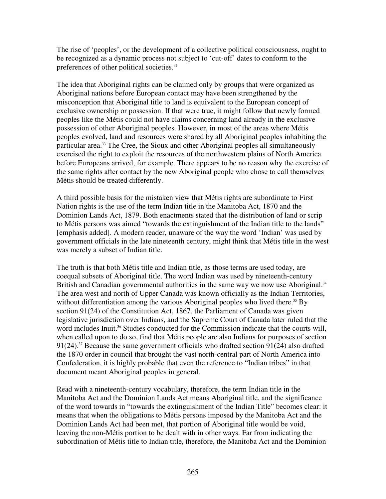The rise of 'peoples', or the development of a collective political consciousness, ought to be recognized as a dynamic process not subject to 'cut-off' dates to conform to the preferences of other political societies.<sup>32</sup>

The idea that Aboriginal rights can be claimed only by groups that were organized as Aboriginal nations before European contact may have been strengthened by the misconception that Aboriginal title to land is equivalent to the European concept of exclusive ownership or possession. If that were true, it might follow that newly formed peoples like the Métis could not have claims concerning land already in the exclusive possession of other Aboriginal peoples. However, in most of the areas where Métis peoples evolved, land and resources were shared by all Aboriginal peoples inhabiting the particular area. <sup>33</sup> The Cree, the Sioux and other Aboriginal peoples all simultaneously exercised the right to exploit the resources of the northwestern plains of North America before Europeans arrived, for example. There appears to be no reason why the exercise of the same rights after contact by the new Aboriginal people who chose to call themselves Métis should be treated differently.

A third possible basis for the mistaken view that Métis rights are subordinate to First Nation rights is the use of the term Indian title in the Manitoba Act, 1870 and the Dominion Lands Act, 1879. Both enactments stated that the distribution of land or scrip to Métis persons was aimed "towards the extinguishment of the Indian title to the lands" [emphasis added]. A modern reader, unaware of the way the word 'Indian' was used by government officials in the late nineteenth century, might think that Métis title in the west was merely a subset of Indian title.

The truth is that both Métis title and Indian title, as those terms are used today, are coequal subsets of Aboriginal title. The word Indian was used by nineteenth-century British and Canadian governmental authorities in the same way we now use Aboriginal.<sup>34</sup> The area west and north of Upper Canada was known officially as the Indian Territories, without differentiation among the various Aboriginal peoples who lived there.<sup>35</sup> By section 91(24) of the Constitution Act, 1867, the Parliament of Canada was given legislative jurisdiction over Indians, and the Supreme Court of Canada later ruled that the word includes Inuit. <sup>36</sup> Studies conducted for the Commission indicate that the courts will, when called upon to do so, find that Métis people are also Indians for purposes of section  $91(24).$ <sup>37</sup> Because the same government officials who drafted section  $91(24)$  also drafted the 1870 order in council that brought the vast north-central part of North America into Confederation, it is highly probable that even the reference to "Indian tribes" in that document meant Aboriginal peoples in general.

Read with a nineteenth-century vocabulary, therefore, the term Indian title in the Manitoba Act and the Dominion Lands Act means Aboriginal title, and the significance of the word towards in "towards the extinguishment of the Indian Title" becomes clear: it means that when the obligations to Métis persons imposed by the Manitoba Act and the Dominion Lands Act had been met, that portion of Aboriginal title would be void, leaving the non-Métis portion to be dealt with in other ways. Far from indicating the subordination of Métis title to Indian title, therefore, the Manitoba Act and the Dominion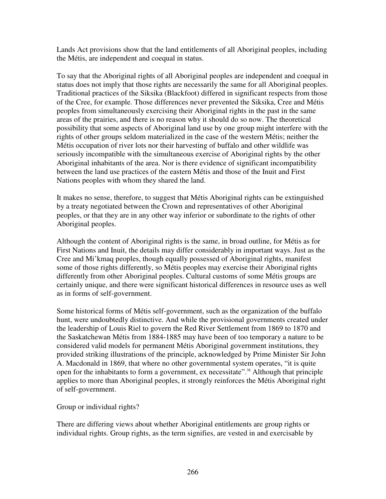Lands Act provisions show that the land entitlements of all Aboriginal peoples, including the Métis, are independent and coequal in status.

To say that the Aboriginal rights of all Aboriginal peoples are independent and coequal in status does not imply that those rights are necessarily the same for all Aboriginal peoples. Traditional practices of the Siksika (Blackfoot) differed in significant respects from those of the Cree, for example. Those differences never prevented the Siksika, Cree and Métis peoples from simultaneously exercising their Aboriginal rights in the past in the same areas of the prairies, and there is no reason why it should do so now. The theoretical possibility that some aspects of Aboriginal land use by one group might interfere with the rights of other groups seldom materialized in the case of the western Métis; neither the Métis occupation of river lots nor their harvesting of buffalo and other wildlife was seriously incompatible with the simultaneous exercise of Aboriginal rights by the other Aboriginal inhabitants of the area. Nor is there evidence of significant incompatibility between the land use practices of the eastern Métis and those of the Inuit and First Nations peoples with whom they shared the land.

It makes no sense, therefore, to suggest that Métis Aboriginal rights can be extinguished by a treaty negotiated between the Crown and representatives of other Aboriginal peoples, or that they are in any other way inferior or subordinate to the rights of other Aboriginal peoples.

Although the content of Aboriginal rights is the same, in broad outline, for Métis as for First Nations and Inuit, the details may differ considerably in important ways. Just as the Cree and Mi'kmaq peoples, though equally possessed of Aboriginal rights, manifest some of those rights differently, so Métis peoples may exercise their Aboriginal rights differently from other Aboriginal peoples. Cultural customs of some Métis groups are certainly unique, and there were significant historical differences in resource uses as well as in forms of self-government.

Some historical forms of Métis self-government, such as the organization of the buffalo hunt, were undoubtedly distinctive. And while the provisional governments created under the leadership of Louis Riel to govern the Red River Settlement from 1869 to 1870 and the Saskatchewan Métis from 1884-1885 may have been of too temporary a nature to be considered valid models for permanent Métis Aboriginal government institutions, they provided striking illustrations of the principle, acknowledged by Prime Minister Sir John A. Macdonald in 1869, that where no other governmental system operates, "it is quite open for the inhabitants to form a government, ex necessitate". <sup>38</sup> Although that principle applies to more than Aboriginal peoples, it strongly reinforces the Métis Aboriginal right of self-government.

#### Group or individual rights?

There are differing views about whether Aboriginal entitlements are group rights or individual rights. Group rights, as the term signifies, are vested in and exercisable by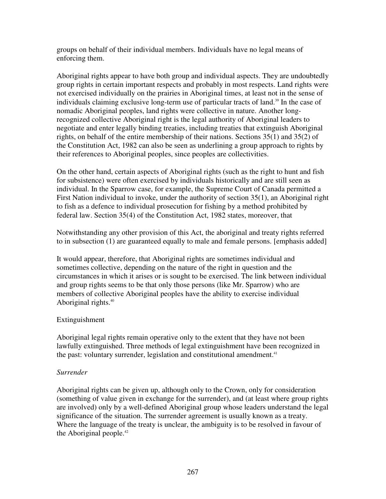groups on behalf of their individual members. Individuals have no legal means of enforcing them.

Aboriginal rights appear to have both group and individual aspects. They are undoubtedly group rights in certain important respects and probably in most respects. Land rights were not exercised individually on the prairies in Aboriginal times, at least not in the sense of individuals claiming exclusive long-term use of particular tracts of land. 39 In the case of nomadic Aboriginal peoples, land rights were collective in nature. Another longrecognized collective Aboriginal right is the legal authority of Aboriginal leaders to negotiate and enter legally binding treaties, including treaties that extinguish Aboriginal rights, on behalf of the entire membership of their nations. Sections 35(1) and 35(2) of the Constitution Act, 1982 can also be seen as underlining a group approach to rights by their references to Aboriginal peoples, since peoples are collectivities.

On the other hand, certain aspects of Aboriginal rights (such as the right to hunt and fish for subsistence) were often exercised by individuals historically and are still seen as individual. In the Sparrow case, for example, the Supreme Court of Canada permitted a First Nation individual to invoke, under the authority of section 35(1), an Aboriginal right to fish as a defence to individual prosecution for fishing by a method prohibited by federal law. Section 35(4) of the Constitution Act, 1982 states, moreover, that

Notwithstanding any other provision of this Act, the aboriginal and treaty rights referred to in subsection (1) are guaranteed equally to male and female persons. [emphasis added]

It would appear, therefore, that Aboriginal rights are sometimes individual and sometimes collective, depending on the nature of the right in question and the circumstances in which it arises or is sought to be exercised. The link between individual and group rights seems to be that only those persons (like Mr. Sparrow) who are members of collective Aboriginal peoples have the ability to exercise individual Aboriginal rights. 40

#### Extinguishment

Aboriginal legal rights remain operative only to the extent that they have not been lawfully extinguished. Three methods of legal extinguishment have been recognized in the past: voluntary surrender, legislation and constitutional amendment.<sup>41</sup>

#### *Surrender*

Aboriginal rights can be given up, although only to the Crown, only for consideration (something of value given in exchange for the surrender), and (at least where group rights are involved) only by a well-defined Aboriginal group whose leaders understand the legal significance of the situation. The surrender agreement is usually known as a treaty. Where the language of the treaty is unclear, the ambiguity is to be resolved in favour of the Aboriginal people. 42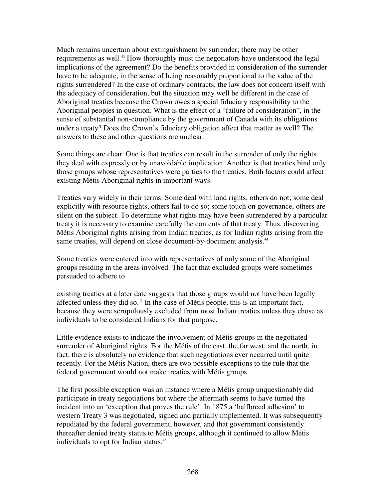Much remains uncertain about extinguishment by surrender; there may be other requirements as well. <sup>43</sup> How thoroughly must the negotiators have understood the legal implications of the agreement? Do the benefits provided in consideration of the surrender have to be adequate, in the sense of being reasonably proportional to the value of the rights surrendered? In the case of ordinary contracts, the law does not concern itself with the adequacy of consideration, but the situation may well be different in the case of Aboriginal treaties because the Crown owes a special fiduciary responsibility to the Aboriginal peoples in question. What is the effect of a "failure of consideration", in the sense of substantial non-compliance by the government of Canada with its obligations under a treaty? Does the Crown's fiduciary obligation affect that matter as well? The answers to these and other questions are unclear.

Some things are clear. One is that treaties can result in the surrender of only the rights they deal with expressly or by unavoidable implication. Another is that treaties bind only those groups whose representatives were parties to the treaties. Both factors could affect existing Métis Aboriginal rights in important ways.

Treaties vary widely in their terms. Some deal with land rights, others do not; some deal explicitly with resource rights, others fail to do so; some touch on governance, others are silent on the subject. To determine what rights may have been surrendered by a particular treaty it is necessary to examine carefully the contents of that treaty. Thus, discovering Métis Aboriginal rights arising from Indian treaties, as for Indian rights arising from the same treaties, will depend on close document-by-document analysis.<sup>44</sup>

Some treaties were entered into with representatives of only some of the Aboriginal groups residing in the areas involved. The fact that excluded groups were sometimes persuaded to adhere to

existing treaties at a later date suggests that those groups would not have been legally affected unless they did so. 45 In the case of Métis people, this is an important fact, because they were scrupulously excluded from most Indian treaties unless they chose as individuals to be considered Indians for that purpose.

Little evidence exists to indicate the involvement of Métis groups in the negotiated surrender of Aboriginal rights. For the Métis of the east, the far west, and the north, in fact, there is absolutely no evidence that such negotiations ever occurred until quite recently. For the Métis Nation, there are two possible exceptions to the rule that the federal government would not make treaties with Métis groups.

The first possible exception was an instance where a Métis group unquestionably did participate in treaty negotiations but where the aftermath seems to have turned the incident into an 'exception that proves the rule'. In 1875 a 'halfbreed adhesion' to western Treaty 3 was negotiated, signed and partially implemented. It was subsequently repudiated by the federal government, however, and that government consistently thereafter denied treaty status to Métis groups, although it continued to allow Métis individuals to opt for Indian status. 46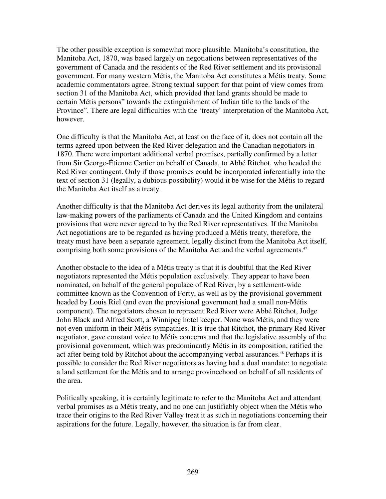The other possible exception is somewhat more plausible. Manitoba's constitution, the Manitoba Act, 1870, was based largely on negotiations between representatives of the government of Canada and the residents of the Red River settlement and its provisional government. For many western Métis, the Manitoba Act constitutes a Métis treaty. Some academic commentators agree. Strong textual support for that point of view comes from section 31 of the Manitoba Act, which provided that land grants should be made to certain Métis persons" towards the extinguishment of Indian title to the lands of the Province". There are legal difficulties with the 'treaty' interpretation of the Manitoba Act, however.

One difficulty is that the Manitoba Act, at least on the face of it, does not contain all the terms agreed upon between the Red River delegation and the Canadian negotiators in 1870. There were important additional verbal promises, partially confirmed by a letter from Sir George-Étienne Cartier on behalf of Canada, to Abbé Ritchot, who headed the Red River contingent. Only if those promises could be incorporated inferentially into the text of section 31 (legally, a dubious possibility) would it be wise for the Métis to regard the Manitoba Act itself as a treaty.

Another difficulty is that the Manitoba Act derives its legal authority from the unilateral law-making powers of the parliaments of Canada and the United Kingdom and contains provisions that were never agreed to by the Red River representatives. If the Manitoba Act negotiations are to be regarded as having produced a Métis treaty, therefore, the treaty must have been a separate agreement, legally distinct from the Manitoba Act itself, comprising both some provisions of the Manitoba Act and the verbal agreements. 47

Another obstacle to the idea of a Métis treaty is that it is doubtful that the Red River negotiators represented the Métis population exclusively. They appear to have been nominated, on behalf of the general populace of Red River, by a settlement-wide committee known as the Convention of Forty, as well as by the provisional government headed by Louis Riel (and even the provisional government had a small non-Métis component). The negotiators chosen to represent Red River were Abbé Ritchot, Judge John Black and Alfred Scott, a Winnipeg hotel keeper. None was Métis, and they were not even uniform in their Métis sympathies. It is true that Ritchot, the primary Red River negotiator, gave constant voice to Métis concerns and that the legislative assembly of the provisional government, which was predominantly Métis in its composition, ratified the act after being told by Ritchot about the accompanying verbal assurances. <sup>48</sup> Perhaps it is possible to consider the Red River negotiators as having had a dual mandate: to negotiate a land settlement for the Métis and to arrange provincehood on behalf of all residents of the area.

Politically speaking, it is certainly legitimate to refer to the Manitoba Act and attendant verbal promises as a Métis treaty, and no one can justifiably object when the Métis who trace their origins to the Red River Valley treat it as such in negotiations concerning their aspirations for the future. Legally, however, the situation is far from clear.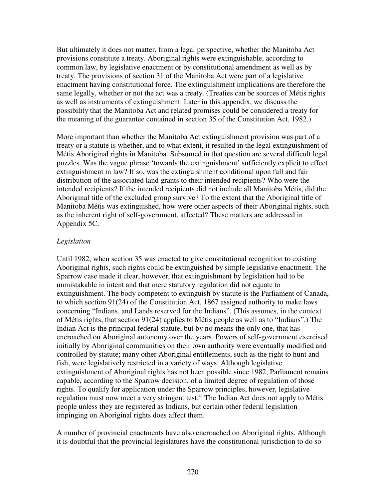But ultimately it does not matter, from a legal perspective, whether the Manitoba Act provisions constitute a treaty. Aboriginal rights were extinguishable, according to common law, by legislative enactment or by constitutional amendment as well as by treaty. The provisions of section 31 of the Manitoba Act were part of a legislative enactment having constitutional force. The extinguishment implications are therefore the same legally, whether or not the act was a treaty. (Treaties can be sources of Métis rights as well as instruments of extinguishment. Later in this appendix, we discuss the possibility that the Manitoba Act and related promises could be considered a treaty for the meaning of the guarantee contained in section 35 of the Constitution Act, 1982.)

More important than whether the Manitoba Act extinguishment provision was part of a treaty or a statute is whether, and to what extent, it resulted in the legal extinguishment of Métis Aboriginal rights in Manitoba. Subsumed in that question are several difficult legal puzzles. Was the vague phrase 'towards the extinguishment' sufficiently explicit to effect extinguishment in law? If so, was the extinguishment conditional upon full and fair distribution of the associated land grants to their intended recipients? Who were the intended recipients? If the intended recipients did not include all Manitoba Métis, did the Aboriginal title of the excluded group survive? To the extent that the Aboriginal title of Manitoba Métis was extinguished, how were other aspects of their Aboriginal rights, such as the inherent right of self-government, affected? These matters are addressed in Appendix 5C.

#### *Legislation*

Until 1982, when section 35 was enacted to give constitutional recognition to existing Aboriginal rights, such rights could be extinguished by simple legislative enactment. The Sparrow case made it clear, however, that extinguishment by legislation had to be unmistakable in intent and that mere statutory regulation did not equate to extinguishment. The body competent to extinguish by statute is the Parliament of Canada, to which section 91(24) of the Constitution Act, 1867 assigned authority to make laws concerning "Indians, and Lands reserved for the Indians". (This assumes, in the context of Métis rights, that section 91(24) applies to Métis people as well as to "Indians".) The Indian Act is the principal federal statute, but by no means the only one, that has encroached on Aboriginal autonomy over the years. Powers of self-government exercised initially by Aboriginal communities on their own authority were eventually modified and controlled by statute; many other Aboriginal entitlements, such as the right to hunt and fish, were legislatively restricted in a variety of ways. Although legislative extinguishment of Aboriginal rights has not been possible since 1982, Parliament remains capable, according to the Sparrow decision, of a limited degree of regulation of those rights. To qualify for application under the Sparrow principles, however, legislative regulation must now meet a very stringent test. <sup>49</sup> The Indian Act does not apply to Métis people unless they are registered as Indians, but certain other federal legislation impinging on Aboriginal rights does affect them.

A number of provincial enactments have also encroached on Aboriginal rights. Although it is doubtful that the provincial legislatures have the constitutional jurisdiction to do so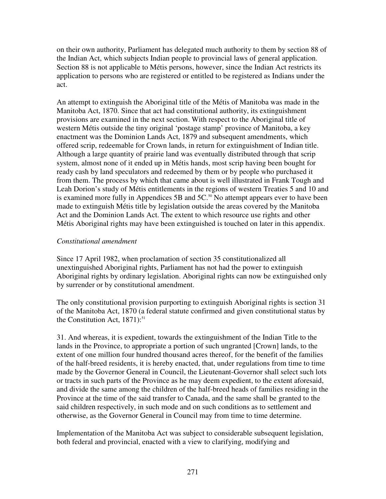on their own authority, Parliament has delegated much authority to them by section 88 of the Indian Act, which subjects Indian people to provincial laws of general application. Section 88 is not applicable to Métis persons, however, since the Indian Act restricts its application to persons who are registered or entitled to be registered as Indians under the act.

An attempt to extinguish the Aboriginal title of the Métis of Manitoba was made in the Manitoba Act, 1870. Since that act had constitutional authority, its extinguishment provisions are examined in the next section. With respect to the Aboriginal title of western Métis outside the tiny original 'postage stamp' province of Manitoba, a key enactment was the Dominion Lands Act, 1879 and subsequent amendments, which offered scrip, redeemable for Crown lands, in return for extinguishment of Indian title. Although a large quantity of prairie land was eventually distributed through that scrip system, almost none of it ended up in Métis hands, most scrip having been bought for ready cash by land speculators and redeemed by them or by people who purchased it from them. The process by which that came about is well illustrated in Frank Tough and Leah Dorion's study of Métis entitlements in the regions of western Treaties 5 and 10 and is examined more fully in Appendices 5B and 5C. <sup>50</sup> No attempt appears ever to have been made to extinguish Métis title by legislation outside the areas covered by the Manitoba Act and the Dominion Lands Act. The extent to which resource use rights and other Métis Aboriginal rights may have been extinguished is touched on later in this appendix.

#### *Constitutional amendment*

Since 17 April 1982, when proclamation of section 35 constitutionalized all unextinguished Aboriginal rights, Parliament has not had the power to extinguish Aboriginal rights by ordinary legislation. Aboriginal rights can now be extinguished only by surrender or by constitutional amendment.

The only constitutional provision purporting to extinguish Aboriginal rights is section 31 of the Manitoba Act, 1870 (a federal statute confirmed and given constitutional status by the Constitution Act, 1871): 51

31. And whereas, it is expedient, towards the extinguishment of the Indian Title to the lands in the Province, to appropriate a portion of such ungranted [Crown] lands, to the extent of one million four hundred thousand acres thereof, for the benefit of the families of the half-breed residents, it is hereby enacted, that, under regulations from time to time made by the Governor General in Council, the Lieutenant-Governor shall select such lots or tracts in such parts of the Province as he may deem expedient, to the extent aforesaid, and divide the same among the children of the half-breed heads of families residing in the Province at the time of the said transfer to Canada, and the same shall be granted to the said children respectively, in such mode and on such conditions as to settlement and otherwise, as the Governor General in Council may from time to time determine.

Implementation of the Manitoba Act was subject to considerable subsequent legislation, both federal and provincial, enacted with a view to clarifying, modifying and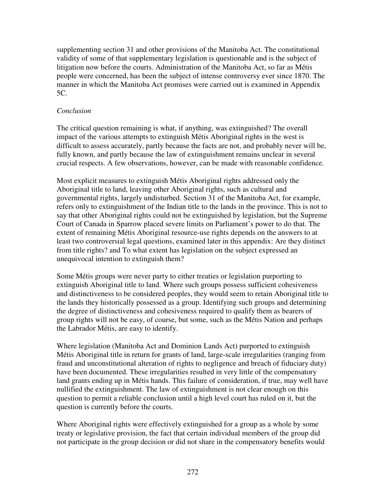supplementing section 31 and other provisions of the Manitoba Act. The constitutional validity of some of that supplementary legislation is questionable and is the subject of litigation now before the courts. Administration of the Manitoba Act, so far as Métis people were concerned, has been the subject of intense controversy ever since 1870. The manner in which the Manitoba Act promises were carried out is examined in Appendix 5C.

#### *Conclusion*

The critical question remaining is what, if anything, was extinguished? The overall impact of the various attempts to extinguish Métis Aboriginal rights in the west is difficult to assess accurately, partly because the facts are not, and probably never will be, fully known, and partly because the law of extinguishment remains unclear in several crucial respects. A few observations, however, can be made with reasonable confidence.

Most explicit measures to extinguish Métis Aboriginal rights addressed only the Aboriginal title to land, leaving other Aboriginal rights, such as cultural and governmental rights, largely undisturbed. Section 31 of the Manitoba Act, for example, refers only to extinguishment of the Indian title to the lands in the province. This is not to say that other Aboriginal rights could not be extinguished by legislation, but the Supreme Court of Canada in Sparrow placed severe limits on Parliament's power to do that. The extent of remaining Métis Aboriginal resource-use rights depends on the answers to at least two controversial legal questions, examined later in this appendix: Are they distinct from title rights? and To what extent has legislation on the subject expressed an unequivocal intention to extinguish them?

Some Métis groups were never party to either treaties or legislation purporting to extinguish Aboriginal title to land. Where such groups possess sufficient cohesiveness and distinctiveness to be considered peoples, they would seem to retain Aboriginal title to the lands they historically possessed as a group. Identifying such groups and determining the degree of distinctiveness and cohesiveness required to qualify them as bearers of group rights will not be easy, of course, but some, such as the Métis Nation and perhaps the Labrador Métis, are easy to identify.

Where legislation (Manitoba Act and Dominion Lands Act) purported to extinguish Métis Aboriginal title in return for grants of land, large-scale irregularities (ranging from fraud and unconstitutional alteration of rights to negligence and breach of fiduciary duty) have been documented. These irregularities resulted in very little of the compensatory land grants ending up in Métis hands. This failure of consideration, if true, may well have nullified the extinguishment. The law of extinguishment is not clear enough on this question to permit a reliable conclusion until a high level court has ruled on it, but the question is currently before the courts.

Where Aboriginal rights were effectively extinguished for a group as a whole by some treaty or legislative provision, the fact that certain individual members of the group did not participate in the group decision or did not share in the compensatory benefits would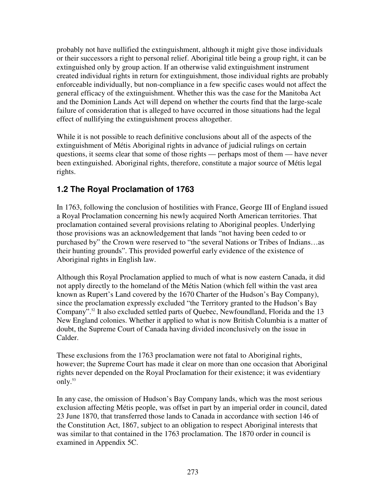probably not have nullified the extinguishment, although it might give those individuals or their successors a right to personal relief. Aboriginal title being a group right, it can be extinguished only by group action. If an otherwise valid extinguishment instrument created individual rights in return for extinguishment, those individual rights are probably enforceable individually, but non-compliance in a few specific cases would not affect the general efficacy of the extinguishment. Whether this was the case for the Manitoba Act and the Dominion Lands Act will depend on whether the courts find that the large-scale failure of consideration that is alleged to have occurred in those situations had the legal effect of nullifying the extinguishment process altogether.

While it is not possible to reach definitive conclusions about all of the aspects of the extinguishment of Métis Aboriginal rights in advance of judicial rulings on certain questions, it seems clear that some of those rights — perhaps most of them — have never been extinguished. Aboriginal rights, therefore, constitute a major source of Métis legal rights.

# **1.2 The Royal Proclamation of 1763**

In 1763, following the conclusion of hostilities with France, George III of England issued a Royal Proclamation concerning his newly acquired North American territories. That proclamation contained several provisions relating to Aboriginal peoples. Underlying those provisions was an acknowledgement that lands "not having been ceded to or purchased by" the Crown were reserved to "the several Nations or Tribes of Indians…as their hunting grounds". This provided powerful early evidence of the existence of Aboriginal rights in English law.

Although this Royal Proclamation applied to much of what is now eastern Canada, it did not apply directly to the homeland of the Métis Nation (which fell within the vast area known as Rupert's Land covered by the 1670 Charter of the Hudson's Bay Company), since the proclamation expressly excluded "the Territory granted to the Hudson's Bay Company". 52 It also excluded settled parts of Quebec, Newfoundland, Florida and the 13 New England colonies. Whether it applied to what is now British Columbia is a matter of doubt, the Supreme Court of Canada having divided inconclusively on the issue in Calder.

These exclusions from the 1763 proclamation were not fatal to Aboriginal rights, however; the Supreme Court has made it clear on more than one occasion that Aboriginal rights never depended on the Royal Proclamation for their existence; it was evidentiary only. 53

In any case, the omission of Hudson's Bay Company lands, which was the most serious exclusion affecting Métis people, was offset in part by an imperial order in council, dated 23 June 1870, that transferred those lands to Canada in accordance with section 146 of the Constitution Act, 1867, subject to an obligation to respect Aboriginal interests that was similar to that contained in the 1763 proclamation. The 1870 order in council is examined in Appendix 5C.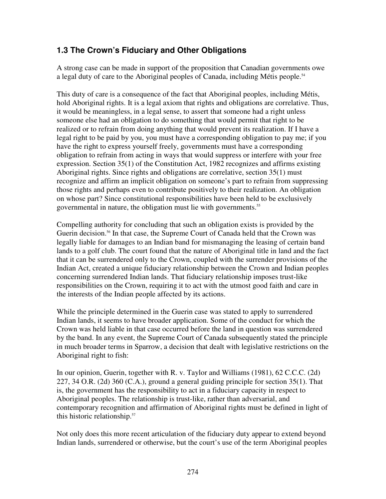### **1.3 The Crown's Fiduciary and Other Obligations**

A strong case can be made in support of the proposition that Canadian governments owe a legal duty of care to the Aboriginal peoples of Canada, including Métis people. 54

This duty of care is a consequence of the fact that Aboriginal peoples, including Métis, hold Aboriginal rights. It is a legal axiom that rights and obligations are correlative. Thus, it would be meaningless, in a legal sense, to assert that someone had a right unless someone else had an obligation to do something that would permit that right to be realized or to refrain from doing anything that would prevent its realization. If I have a legal right to be paid by you, you must have a corresponding obligation to pay me; if you have the right to express yourself freely, governments must have a corresponding obligation to refrain from acting in ways that would suppress or interfere with your free expression. Section 35(1) of the Constitution Act, 1982 recognizes and affirms existing Aboriginal rights. Since rights and obligations are correlative, section 35(1) must recognize and affirm an implicit obligation on someone's part to refrain from suppressing those rights and perhaps even to contribute positively to their realization. An obligation on whose part? Since constitutional responsibilities have been held to be exclusively governmental in nature, the obligation must lie with governments. 55

Compelling authority for concluding that such an obligation exists is provided by the Guerin decision. 56 In that case, the Supreme Court of Canada held that the Crown was legally liable for damages to an Indian band for mismanaging the leasing of certain band lands to a golf club. The court found that the nature of Aboriginal title in land and the fact that it can be surrendered only to the Crown, coupled with the surrender provisions of the Indian Act, created a unique fiduciary relationship between the Crown and Indian peoples concerning surrendered Indian lands. That fiduciary relationship imposes trust-like responsibilities on the Crown, requiring it to act with the utmost good faith and care in the interests of the Indian people affected by its actions.

While the principle determined in the Guerin case was stated to apply to surrendered Indian lands, it seems to have broader application. Some of the conduct for which the Crown was held liable in that case occurred before the land in question was surrendered by the band. In any event, the Supreme Court of Canada subsequently stated the principle in much broader terms in Sparrow, a decision that dealt with legislative restrictions on the Aboriginal right to fish:

In our opinion, Guerin, together with R. v. Taylor and Williams (1981), 62 C.C.C. (2d) 227, 34 O.R. (2d) 360 (C.A.), ground a general guiding principle for section 35(1). That is, the government has the responsibility to act in a fiduciary capacity in respect to Aboriginal peoples. The relationship is trust-like, rather than adversarial, and contemporary recognition and affirmation of Aboriginal rights must be defined in light of this historic relationship. 57

Not only does this more recent articulation of the fiduciary duty appear to extend beyond Indian lands, surrendered or otherwise, but the court's use of the term Aboriginal peoples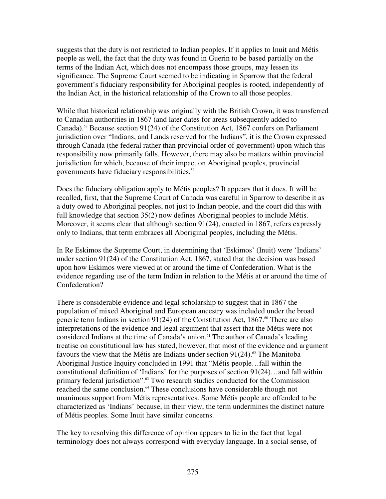suggests that the duty is not restricted to Indian peoples. If it applies to Inuit and Métis people as well, the fact that the duty was found in Guerin to be based partially on the terms of the Indian Act, which does not encompass those groups, may lessen its significance. The Supreme Court seemed to be indicating in Sparrow that the federal government's fiduciary responsibility for Aboriginal peoples is rooted, independently of the Indian Act, in the historical relationship of the Crown to all those peoples.

While that historical relationship was originally with the British Crown, it was transferred to Canadian authorities in 1867 (and later dates for areas subsequently added to Canada). <sup>58</sup> Because section 91(24) of the Constitution Act, 1867 confers on Parliament jurisdiction over "Indians, and Lands reserved for the Indians", it is the Crown expressed through Canada (the federal rather than provincial order of government) upon which this responsibility now primarily falls. However, there may also be matters within provincial jurisdiction for which, because of their impact on Aboriginal peoples, provincial governments have fiduciary responsibilities. 59

Does the fiduciary obligation apply to Métis peoples? It appears that it does. It will be recalled, first, that the Supreme Court of Canada was careful in Sparrow to describe it as a duty owed to Aboriginal peoples, not just to Indian people, and the court did this with full knowledge that section 35(2) now defines Aboriginal peoples to include Métis. Moreover, it seems clear that although section 91(24), enacted in 1867, refers expressly only to Indians, that term embraces all Aboriginal peoples, including the Métis.

In Re Eskimos the Supreme Court, in determining that 'Eskimos' (Inuit) were 'Indians' under section 91(24) of the Constitution Act, 1867, stated that the decision was based upon how Eskimos were viewed at or around the time of Confederation. What is the evidence regarding use of the term Indian in relation to the Métis at or around the time of Confederation?

There is considerable evidence and legal scholarship to suggest that in 1867 the population of mixed Aboriginal and European ancestry was included under the broad generic term Indians in section 91(24) of the Constitution Act, 1867. <sup>60</sup> There are also interpretations of the evidence and legal argument that assert that the Métis were not considered Indians at the time of Canada's union. <sup>61</sup> The author of Canada's leading treatise on constitutional law has stated, however, that most of the evidence and argument favours the view that the Métis are Indians under section  $91(24)$ .<sup>62</sup> The Manitoba Aboriginal Justice Inquiry concluded in 1991 that "Métis people…fall within the constitutional definition of 'Indians' for the purposes of section 91(24)…and fall within primary federal jurisdiction". <sup>63</sup> Two research studies conducted for the Commission reached the same conclusion. <sup>64</sup> These conclusions have considerable though not unanimous support from Métis representatives. Some Métis people are offended to be characterized as 'Indians' because, in their view, the term undermines the distinct nature of Métis peoples. Some Inuit have similar concerns.

The key to resolving this difference of opinion appears to lie in the fact that legal terminology does not always correspond with everyday language. In a social sense, of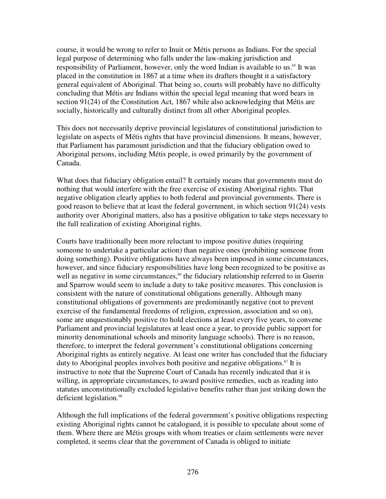course, it would be wrong to refer to Inuit or Métis persons as Indians. For the special legal purpose of determining who falls under the law-making jurisdiction and responsibility of Parliament, however, only the word Indian is available to us.<sup>65</sup> It was placed in the constitution in 1867 at a time when its drafters thought it a satisfactory general equivalent of Aboriginal. That being so, courts will probably have no difficulty concluding that Métis are Indians within the special legal meaning that word bears in section 91(24) of the Constitution Act, 1867 while also acknowledging that Métis are socially, historically and culturally distinct from all other Aboriginal peoples.

This does not necessarily deprive provincial legislatures of constitutional jurisdiction to legislate on aspects of Métis rights that have provincial dimensions. It means, however, that Parliament has paramount jurisdiction and that the fiduciary obligation owed to Aboriginal persons, including Métis people, is owed primarily by the government of Canada.

What does that fiduciary obligation entail? It certainly means that governments must do nothing that would interfere with the free exercise of existing Aboriginal rights. That negative obligation clearly applies to both federal and provincial governments. There is good reason to believe that at least the federal government, in which section 91(24) vests authority over Aboriginal matters, also has a positive obligation to take steps necessary to the full realization of existing Aboriginal rights.

Courts have traditionally been more reluctant to impose positive duties (requiring someone to undertake a particular action) than negative ones (prohibiting someone from doing something). Positive obligations have always been imposed in some circumstances, however, and since fiduciary responsibilities have long been recognized to be positive as well as negative in some circumstances,<sup>66</sup> the fiduciary relationship referred to in Guerin and Sparrow would seem to include a duty to take positive measures. This conclusion is consistent with the nature of constitutional obligations generally. Although many constitutional obligations of governments are predominantly negative (not to prevent exercise of the fundamental freedoms of religion, expression, association and so on), some are unquestionably positive (to hold elections at least every five years, to convene Parliament and provincial legislatures at least once a year, to provide public support for minority denominational schools and minority language schools). There is no reason, therefore, to interpret the federal government's constitutional obligations concerning Aboriginal rights as entirely negative. At least one writer has concluded that the fiduciary duty to Aboriginal peoples involves both positive and negative obligations. 67 It is instructive to note that the Supreme Court of Canada has recently indicated that it is willing, in appropriate circumstances, to award positive remedies, such as reading into statutes unconstitutionally excluded legislative benefits rather than just striking down the deficient legislation. 68

Although the full implications of the federal government's positive obligations respecting existing Aboriginal rights cannot be catalogued, it is possible to speculate about some of them. Where there are Métis groups with whom treaties or claim settlements were never completed, it seems clear that the government of Canada is obliged to initiate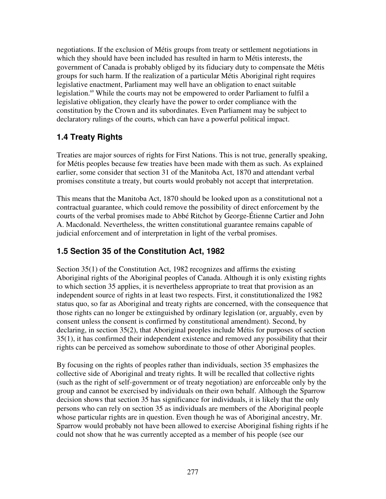negotiations. If the exclusion of Métis groups from treaty or settlement negotiations in which they should have been included has resulted in harm to Métis interests, the government of Canada is probably obliged by its fiduciary duty to compensate the Métis groups for such harm. If the realization of a particular Métis Aboriginal right requires legislative enactment, Parliament may well have an obligation to enact suitable legislation. <sup>69</sup> While the courts may not be empowered to order Parliament to fulfil a legislative obligation, they clearly have the power to order compliance with the constitution by the Crown and its subordinates. Even Parliament may be subject to declaratory rulings of the courts, which can have a powerful political impact.

# **1.4 Treaty Rights**

Treaties are major sources of rights for First Nations. This is not true, generally speaking, for Métis peoples because few treaties have been made with them as such. As explained earlier, some consider that section 31 of the Manitoba Act, 1870 and attendant verbal promises constitute a treaty, but courts would probably not accept that interpretation.

This means that the Manitoba Act, 1870 should be looked upon as a constitutional not a contractual guarantee, which could remove the possibility of direct enforcement by the courts of the verbal promises made to Abbé Ritchot by George-Étienne Cartier and John A. Macdonald. Nevertheless, the written constitutional guarantee remains capable of judicial enforcement and of interpretation in light of the verbal promises.

### **1.5 Section 35 of the Constitution Act, 1982**

Section 35(1) of the Constitution Act, 1982 recognizes and affirms the existing Aboriginal rights of the Aboriginal peoples of Canada. Although it is only existing rights to which section 35 applies, it is nevertheless appropriate to treat that provision as an independent source of rights in at least two respects. First, it constitutionalized the 1982 status quo, so far as Aboriginal and treaty rights are concerned, with the consequence that those rights can no longer be extinguished by ordinary legislation (or, arguably, even by consent unless the consent is confirmed by constitutional amendment). Second, by declaring, in section 35(2), that Aboriginal peoples include Métis for purposes of section 35(1), it has confirmed their independent existence and removed any possibility that their rights can be perceived as somehow subordinate to those of other Aboriginal peoples.

By focusing on the rights of peoples rather than individuals, section 35 emphasizes the collective side of Aboriginal and treaty rights. It will be recalled that collective rights (such as the right of self-government or of treaty negotiation) are enforceable only by the group and cannot be exercised by individuals on their own behalf. Although the Sparrow decision shows that section 35 has significance for individuals, it is likely that the only persons who can rely on section 35 as individuals are members of the Aboriginal people whose particular rights are in question. Even though he was of Aboriginal ancestry, Mr. Sparrow would probably not have been allowed to exercise Aboriginal fishing rights if he could not show that he was currently accepted as a member of his people (see our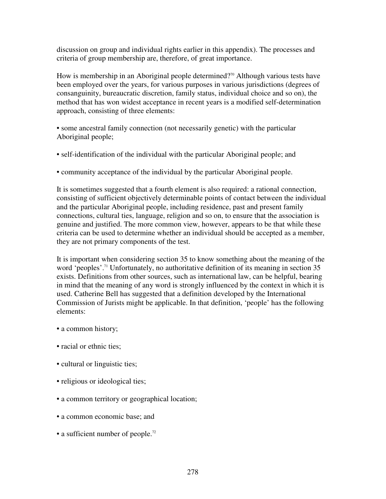discussion on group and individual rights earlier in this appendix). The processes and criteria of group membership are, therefore, of great importance.

How is membership in an Aboriginal people determined? <sup>70</sup> Although various tests have been employed over the years, for various purposes in various jurisdictions (degrees of consanguinity, bureaucratic discretion, family status, individual choice and so on), the method that has won widest acceptance in recent years is a modified self-determination approach, consisting of three elements:

• some ancestral family connection (not necessarily genetic) with the particular Aboriginal people;

- self-identification of the individual with the particular Aboriginal people; and
- community acceptance of the individual by the particular Aboriginal people.

It is sometimes suggested that a fourth element is also required: a rational connection, consisting of sufficient objectively determinable points of contact between the individual and the particular Aboriginal people, including residence, past and present family connections, cultural ties, language, religion and so on, to ensure that the association is genuine and justified. The more common view, however, appears to be that while these criteria can be used to determine whether an individual should be accepted as a member, they are not primary components of the test.

It is important when considering section 35 to know something about the meaning of the word 'peoples'.<sup>71</sup> Unfortunately, no authoritative definition of its meaning in section 35 exists. Definitions from other sources, such as international law, can be helpful, bearing in mind that the meaning of any word is strongly influenced by the context in which it is used. Catherine Bell has suggested that a definition developed by the International Commission of Jurists might be applicable. In that definition, 'people' has the following elements:

- a common history;
- racial or ethnic ties:
- cultural or linguistic ties;
- religious or ideological ties;
- a common territory or geographical location;
- a common economic base; and
- a sufficient number of people.<sup>72</sup>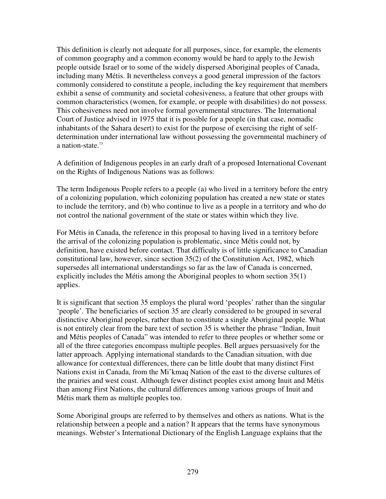This definition is clearly not adequate for all purposes, since, for example, the elements of common geography and a common economy would be hard to apply to the Jewish people outside Israel or to some of the widely dispersed Aboriginal peoples of Canada, including many Métis. It nevertheless conveys a good general impression of the factors commonly considered to constitute a people, including the key requirement that members exhibit a sense of community and societal cohesiveness, a feature that other groups with common characteristics (women, for example, or people with disabilities) do not possess. This cohesiveness need not involve formal governmental structures. The International Court of Justice advised in 1975 that it is possible for a people (in that case, nomadic inhabitants of the Sahara desert) to exist for the purpose of exercising the right of selfdetermination under international law without possessing the governmental machinery of a nation-state. 73

A definition of Indigenous peoples in an early draft of a proposed International Covenant on the Rights of Indigenous Nations was as follows:

The term Indigenous People refers to a people (a) who lived in a territory before the entry of a colonizing population, which colonizing population has created a new state or states to include the territory, and (b) who continue to live as a people in a territory and who do not control the national government of the state or states within which they live.

For Métis in Canada, the reference in this proposal to having lived in a territory before the arrival of the colonizing population is problematic, since Métis could not, by definition, have existed before contact. That difficulty is of little significance to Canadian constitutional law, however, since section 35(2) of the Constitution Act, 1982, which supersedes all international understandings so far as the law of Canada is concerned, explicitly includes the Métis among the Aboriginal peoples to whom section 35(1) applies.

It is significant that section 35 employs the plural word 'peoples' rather than the singular 'people'. The beneficiaries of section 35 are clearly considered to be grouped in several distinctive Aboriginal peoples, rather than to constitute a single Aboriginal people. What is not entirely clear from the bare text of section 35 is whether the phrase "Indian, Inuit and Métis peoples of Canada" was intended to refer to three peoples or whether some or all of the three categories encompass multiple peoples. Bell argues persuasively for the latter approach. Applying international standards to the Canadian situation, with due allowance for contextual differences, there can be little doubt that many distinct First Nations exist in Canada, from the Mi'kmaq Nation of the east to the diverse cultures of the prairies and west coast. Although fewer distinct peoples exist among Inuit and Métis than among First Nations, the cultural differences among various groups of Inuit and Métis mark them as multiple peoples too.

Some Aboriginal groups are referred to by themselves and others as nations. What is the relationship between a people and a nation? It appears that the terms have synonymous meanings. Webster's International Dictionary of the English Language explains that the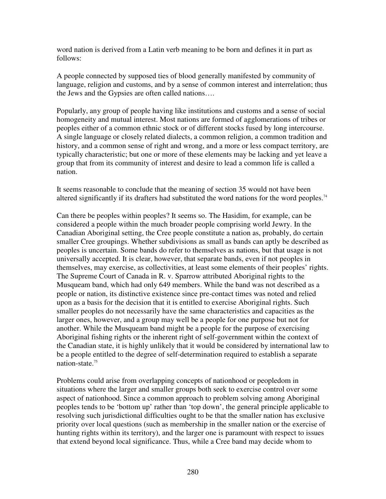word nation is derived from a Latin verb meaning to be born and defines it in part as follows:

A people connected by supposed ties of blood generally manifested by community of language, religion and customs, and by a sense of common interest and interrelation; thus the Jews and the Gypsies are often called nations….

Popularly, any group of people having like institutions and customs and a sense of social homogeneity and mutual interest. Most nations are formed of agglomerations of tribes or peoples either of a common ethnic stock or of different stocks fused by long intercourse. A single language or closely related dialects, a common religion, a common tradition and history, and a common sense of right and wrong, and a more or less compact territory, are typically characteristic; but one or more of these elements may be lacking and yet leave a group that from its community of interest and desire to lead a common life is called a nation.

It seems reasonable to conclude that the meaning of section 35 would not have been altered significantly if its drafters had substituted the word nations for the word peoples.<sup>74</sup>

Can there be peoples within peoples? It seems so. The Hasidim, for example, can be considered a people within the much broader people comprising world Jewry. In the Canadian Aboriginal setting, the Cree people constitute a nation as, probably, do certain smaller Cree groupings. Whether subdivisions as small as bands can aptly be described as peoples is uncertain. Some bands do refer to themselves as nations, but that usage is not universally accepted. It is clear, however, that separate bands, even if not peoples in themselves, may exercise, as collectivities, at least some elements of their peoples' rights. The Supreme Court of Canada in R. v. Sparrow attributed Aboriginal rights to the Musqueam band, which had only 649 members. While the band was not described as a people or nation, its distinctive existence since pre-contact times was noted and relied upon as a basis for the decision that it is entitled to exercise Aboriginal rights. Such smaller peoples do not necessarily have the same characteristics and capacities as the larger ones, however, and a group may well be a people for one purpose but not for another. While the Musqueam band might be a people for the purpose of exercising Aboriginal fishing rights or the inherent right of self-government within the context of the Canadian state, it is highly unlikely that it would be considered by international law to be a people entitled to the degree of self-determination required to establish a separate nation-state. 75

Problems could arise from overlapping concepts of nationhood or peopledom in situations where the larger and smaller groups both seek to exercise control over some aspect of nationhood. Since a common approach to problem solving among Aboriginal peoples tends to be 'bottom up' rather than 'top down', the general principle applicable to resolving such jurisdictional difficulties ought to be that the smaller nation has exclusive priority over local questions (such as membership in the smaller nation or the exercise of hunting rights within its territory), and the larger one is paramount with respect to issues that extend beyond local significance. Thus, while a Cree band may decide whom to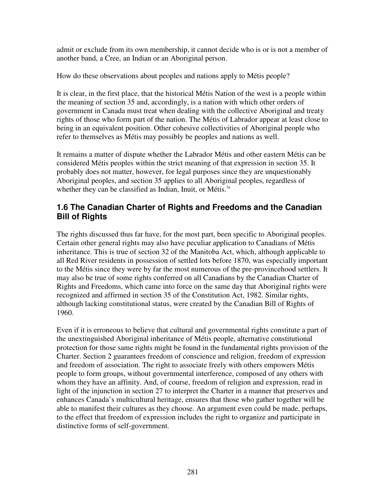admit or exclude from its own membership, it cannot decide who is or is not a member of another band, a Cree, an Indian or an Aboriginal person.

How do these observations about peoples and nations apply to Métis people?

It is clear, in the first place, that the historical Métis Nation of the west is a people within the meaning of section 35 and, accordingly, is a nation with which other orders of government in Canada must treat when dealing with the collective Aboriginal and treaty rights of those who form part of the nation. The Métis of Labrador appear at least close to being in an equivalent position. Other cohesive collectivities of Aboriginal people who refer to themselves as Métis may possibly be peoples and nations as well.

It remains a matter of dispute whether the Labrador Métis and other eastern Métis can be considered Métis peoples within the strict meaning of that expression in section 35. It probably does not matter, however, for legal purposes since they are unquestionably Aboriginal peoples, and section 35 applies to all Aboriginal peoples, regardless of whether they can be classified as Indian, Inuit, or Métis.<sup>76</sup>

#### **1.6 The Canadian Charter of Rights and Freedoms and the Canadian Bill of Rights**

The rights discussed thus far have, for the most part, been specific to Aboriginal peoples. Certain other general rights may also have peculiar application to Canadians of Métis inheritance. This is true of section 32 of the Manitoba Act, which, although applicable to all Red River residents in possession of settled lots before 1870, was especially important to the Métis since they were by far the most numerous of the pre-provincehood settlers. It may also be true of some rights conferred on all Canadians by the Canadian Charter of Rights and Freedoms, which came into force on the same day that Aboriginal rights were recognized and affirmed in section 35 of the Constitution Act, 1982. Similar rights, although lacking constitutional status, were created by the Canadian Bill of Rights of 1960.

Even if it is erroneous to believe that cultural and governmental rights constitute a part of the unextinguished Aboriginal inheritance of Métis people, alternative constitutional protection for those same rights might be found in the fundamental rights provision of the Charter. Section 2 guarantees freedom of conscience and religion, freedom of expression and freedom of association. The right to associate freely with others empowers Métis people to form groups, without governmental interference, composed of any others with whom they have an affinity. And, of course, freedom of religion and expression, read in light of the injunction in section 27 to interpret the Charter in a manner that preserves and enhances Canada's multicultural heritage, ensures that those who gather together will be able to manifest their cultures as they choose. An argument even could be made, perhaps, to the effect that freedom of expression includes the right to organize and participate in distinctive forms of self-government.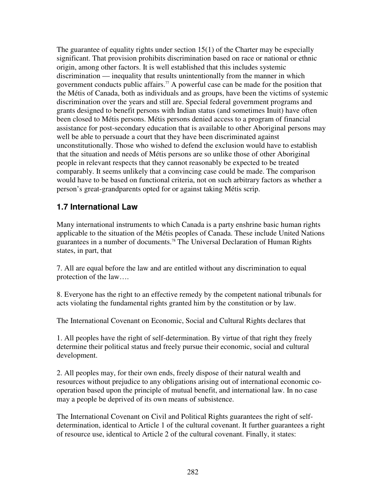The guarantee of equality rights under section  $15(1)$  of the Charter may be especially significant. That provision prohibits discrimination based on race or national or ethnic origin, among other factors. It is well established that this includes systemic discrimination — inequality that results unintentionally from the manner in which government conducts public affairs. <sup>77</sup> A powerful case can be made for the position that the Métis of Canada, both as individuals and as groups, have been the victims of systemic discrimination over the years and still are. Special federal government programs and grants designed to benefit persons with Indian status (and sometimes Inuit) have often been closed to Métis persons. Métis persons denied access to a program of financial assistance for post-secondary education that is available to other Aboriginal persons may well be able to persuade a court that they have been discriminated against unconstitutionally. Those who wished to defend the exclusion would have to establish that the situation and needs of Métis persons are so unlike those of other Aboriginal people in relevant respects that they cannot reasonably be expected to be treated comparably. It seems unlikely that a convincing case could be made. The comparison would have to be based on functional criteria, not on such arbitrary factors as whether a person's great-grandparents opted for or against taking Métis scrip.

### **1.7 International Law**

Many international instruments to which Canada is a party enshrine basic human rights applicable to the situation of the Métis peoples of Canada. These include United Nations guarantees in a number of documents. <sup>78</sup> The Universal Declaration of Human Rights states, in part, that

7. All are equal before the law and are entitled without any discrimination to equal protection of the law….

8. Everyone has the right to an effective remedy by the competent national tribunals for acts violating the fundamental rights granted him by the constitution or by law.

The International Covenant on Economic, Social and Cultural Rights declares that

1. All peoples have the right of self-determination. By virtue of that right they freely determine their political status and freely pursue their economic, social and cultural development.

2. All peoples may, for their own ends, freely dispose of their natural wealth and resources without prejudice to any obligations arising out of international economic cooperation based upon the principle of mutual benefit, and international law. In no case may a people be deprived of its own means of subsistence.

The International Covenant on Civil and Political Rights guarantees the right of selfdetermination, identical to Article 1 of the cultural covenant. It further guarantees a right of resource use, identical to Article 2 of the cultural covenant. Finally, it states: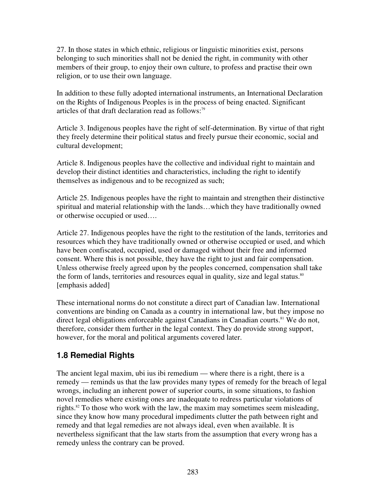27. In those states in which ethnic, religious or linguistic minorities exist, persons belonging to such minorities shall not be denied the right, in community with other members of their group, to enjoy their own culture, to profess and practise their own religion, or to use their own language.

In addition to these fully adopted international instruments, an International Declaration on the Rights of Indigenous Peoples is in the process of being enacted. Significant articles of that draft declaration read as follows: 79

Article 3. Indigenous peoples have the right of self-determination. By virtue of that right they freely determine their political status and freely pursue their economic, social and cultural development;

Article 8. Indigenous peoples have the collective and individual right to maintain and develop their distinct identities and characteristics, including the right to identify themselves as indigenous and to be recognized as such;

Article 25. Indigenous peoples have the right to maintain and strengthen their distinctive spiritual and material relationship with the lands…which they have traditionally owned or otherwise occupied or used….

Article 27. Indigenous peoples have the right to the restitution of the lands, territories and resources which they have traditionally owned or otherwise occupied or used, and which have been confiscated, occupied, used or damaged without their free and informed consent. Where this is not possible, they have the right to just and fair compensation. Unless otherwise freely agreed upon by the peoples concerned, compensation shall take the form of lands, territories and resources equal in quality, size and legal status.<sup>80</sup> [emphasis added]

These international norms do not constitute a direct part of Canadian law. International conventions are binding on Canada as a country in international law, but they impose no direct legal obligations enforceable against Canadians in Canadian courts. <sup>81</sup> We do not, therefore, consider them further in the legal context. They do provide strong support, however, for the moral and political arguments covered later.

## **1.8 Remedial Rights**

The ancient legal maxim, ubi ius ibi remedium — where there is a right, there is a remedy — reminds us that the law provides many types of remedy for the breach of legal wrongs, including an inherent power of superior courts, in some situations, to fashion novel remedies where existing ones are inadequate to redress particular violations of rights. <sup>82</sup> To those who work with the law, the maxim may sometimes seem misleading, since they know how many procedural impediments clutter the path between right and remedy and that legal remedies are not always ideal, even when available. It is nevertheless significant that the law starts from the assumption that every wrong has a remedy unless the contrary can be proved.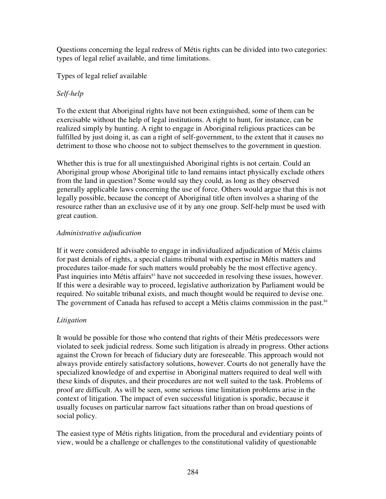Questions concerning the legal redress of Métis rights can be divided into two categories: types of legal relief available, and time limitations.

Types of legal relief available

#### *Self-help*

To the extent that Aboriginal rights have not been extinguished, some of them can be exercisable without the help of legal institutions. A right to hunt, for instance, can be realized simply by hunting. A right to engage in Aboriginal religious practices can be fulfilled by just doing it, as can a right of self-government, to the extent that it causes no detriment to those who choose not to subject themselves to the government in question.

Whether this is true for all unextinguished Aboriginal rights is not certain. Could an Aboriginal group whose Aboriginal title to land remains intact physically exclude others from the land in question? Some would say they could, as long as they observed generally applicable laws concerning the use of force. Others would argue that this is not legally possible, because the concept of Aboriginal title often involves a sharing of the resource rather than an exclusive use of it by any one group. Self-help must be used with great caution.

#### *Administrative adjudication*

If it were considered advisable to engage in individualized adjudication of Métis claims for past denials of rights, a special claims tribunal with expertise in Métis matters and procedures tailor-made for such matters would probably be the most effective agency. Past inquiries into Métis affairs<sup>83</sup> have not succeeded in resolving these issues, however. If this were a desirable way to proceed, legislative authorization by Parliament would be required. No suitable tribunal exists, and much thought would be required to devise one. The government of Canada has refused to accept a Métis claims commission in the past.<sup>84</sup>

#### *Litigation*

It would be possible for those who contend that rights of their Métis predecessors were violated to seek judicial redress. Some such litigation is already in progress. Other actions against the Crown for breach of fiduciary duty are foreseeable. This approach would not always provide entirely satisfactory solutions, however. Courts do not generally have the specialized knowledge of and expertise in Aboriginal matters required to deal well with these kinds of disputes, and their procedures are not well suited to the task. Problems of proof are difficult. As will be seen, some serious time limitation problems arise in the context of litigation. The impact of even successful litigation is sporadic, because it usually focuses on particular narrow fact situations rather than on broad questions of social policy.

The easiest type of Métis rights litigation, from the procedural and evidentiary points of view, would be a challenge or challenges to the constitutional validity of questionable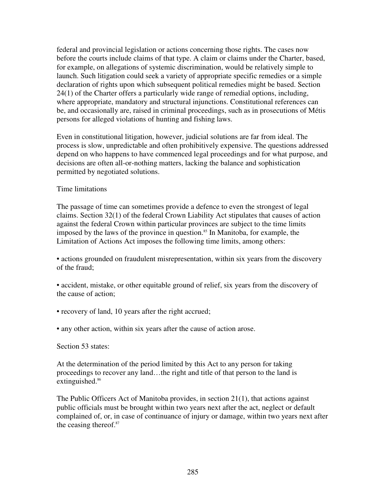federal and provincial legislation or actions concerning those rights. The cases now before the courts include claims of that type. A claim or claims under the Charter, based, for example, on allegations of systemic discrimination, would be relatively simple to launch. Such litigation could seek a variety of appropriate specific remedies or a simple declaration of rights upon which subsequent political remedies might be based. Section 24(1) of the Charter offers a particularly wide range of remedial options, including, where appropriate, mandatory and structural injunctions. Constitutional references can be, and occasionally are, raised in criminal proceedings, such as in prosecutions of Métis persons for alleged violations of hunting and fishing laws.

Even in constitutional litigation, however, judicial solutions are far from ideal. The process is slow, unpredictable and often prohibitively expensive. The questions addressed depend on who happens to have commenced legal proceedings and for what purpose, and decisions are often all-or-nothing matters, lacking the balance and sophistication permitted by negotiated solutions.

#### Time limitations

The passage of time can sometimes provide a defence to even the strongest of legal claims. Section 32(1) of the federal Crown Liability Act stipulates that causes of action against the federal Crown within particular provinces are subject to the time limits imposed by the laws of the province in question. 85 In Manitoba, for example, the Limitation of Actions Act imposes the following time limits, among others:

• actions grounded on fraudulent misrepresentation, within six years from the discovery of the fraud;

• accident, mistake, or other equitable ground of relief, six years from the discovery of the cause of action;

• recovery of land, 10 years after the right accrued;

• any other action, within six years after the cause of action arose.

Section 53 states:

At the determination of the period limited by this Act to any person for taking proceedings to recover any land…the right and title of that person to the land is extinguished. 86

The Public Officers Act of Manitoba provides, in section 21(1), that actions against public officials must be brought within two years next after the act, neglect or default complained of, or, in case of continuance of injury or damage, within two years next after the ceasing thereof. 87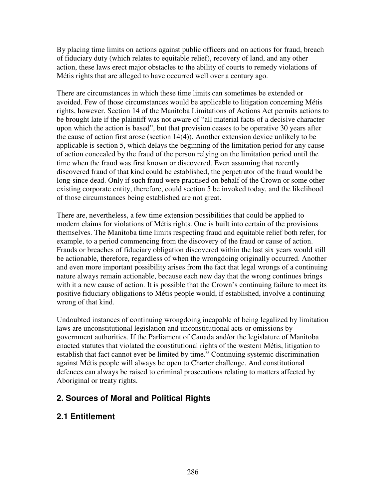By placing time limits on actions against public officers and on actions for fraud, breach of fiduciary duty (which relates to equitable relief), recovery of land, and any other action, these laws erect major obstacles to the ability of courts to remedy violations of Métis rights that are alleged to have occurred well over a century ago.

There are circumstances in which these time limits can sometimes be extended or avoided. Few of those circumstances would be applicable to litigation concerning Métis rights, however. Section 14 of the Manitoba Limitations of Actions Act permits actions to be brought late if the plaintiff was not aware of "all material facts of a decisive character upon which the action is based", but that provision ceases to be operative 30 years after the cause of action first arose (section 14(4)). Another extension device unlikely to be applicable is section 5, which delays the beginning of the limitation period for any cause of action concealed by the fraud of the person relying on the limitation period until the time when the fraud was first known or discovered. Even assuming that recently discovered fraud of that kind could be established, the perpetrator of the fraud would be long-since dead. Only if such fraud were practised on behalf of the Crown or some other existing corporate entity, therefore, could section 5 be invoked today, and the likelihood of those circumstances being established are not great.

There are, nevertheless, a few time extension possibilities that could be applied to modern claims for violations of Métis rights. One is built into certain of the provisions themselves. The Manitoba time limits respecting fraud and equitable relief both refer, for example, to a period commencing from the discovery of the fraud or cause of action. Frauds or breaches of fiduciary obligation discovered within the last six years would still be actionable, therefore, regardless of when the wrongdoing originally occurred. Another and even more important possibility arises from the fact that legal wrongs of a continuing nature always remain actionable, because each new day that the wrong continues brings with it a new cause of action. It is possible that the Crown's continuing failure to meet its positive fiduciary obligations to Métis people would, if established, involve a continuing wrong of that kind.

Undoubted instances of continuing wrongdoing incapable of being legalized by limitation laws are unconstitutional legislation and unconstitutional acts or omissions by government authorities. If the Parliament of Canada and/or the legislature of Manitoba enacted statutes that violated the constitutional rights of the western Métis, litigation to establish that fact cannot ever be limited by time. <sup>88</sup> Continuing systemic discrimination against Métis people will always be open to Charter challenge. And constitutional defences can always be raised to criminal prosecutions relating to matters affected by Aboriginal or treaty rights.

## **2. Sources of Moral and Political Rights**

## **2.1 Entitlement**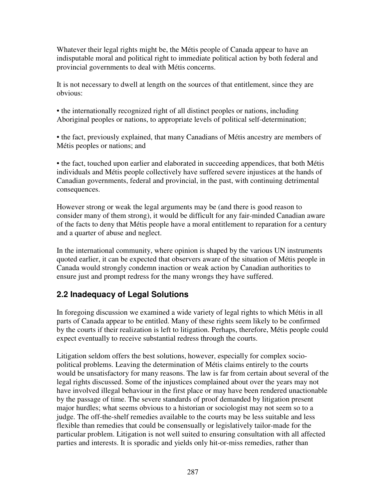Whatever their legal rights might be, the Métis people of Canada appear to have an indisputable moral and political right to immediate political action by both federal and provincial governments to deal with Métis concerns.

It is not necessary to dwell at length on the sources of that entitlement, since they are obvious:

• the internationally recognized right of all distinct peoples or nations, including Aboriginal peoples or nations, to appropriate levels of political self-determination;

• the fact, previously explained, that many Canadians of Métis ancestry are members of Métis peoples or nations; and

• the fact, touched upon earlier and elaborated in succeeding appendices, that both Métis individuals and Métis people collectively have suffered severe injustices at the hands of Canadian governments, federal and provincial, in the past, with continuing detrimental consequences.

However strong or weak the legal arguments may be (and there is good reason to consider many of them strong), it would be difficult for any fair-minded Canadian aware of the facts to deny that Métis people have a moral entitlement to reparation for a century and a quarter of abuse and neglect.

In the international community, where opinion is shaped by the various UN instruments quoted earlier, it can be expected that observers aware of the situation of Métis people in Canada would strongly condemn inaction or weak action by Canadian authorities to ensure just and prompt redress for the many wrongs they have suffered.

## **2.2 Inadequacy of Legal Solutions**

In foregoing discussion we examined a wide variety of legal rights to which Métis in all parts of Canada appear to be entitled. Many of these rights seem likely to be confirmed by the courts if their realization is left to litigation. Perhaps, therefore, Métis people could expect eventually to receive substantial redress through the courts.

Litigation seldom offers the best solutions, however, especially for complex sociopolitical problems. Leaving the determination of Métis claims entirely to the courts would be unsatisfactory for many reasons. The law is far from certain about several of the legal rights discussed. Some of the injustices complained about over the years may not have involved illegal behaviour in the first place or may have been rendered unactionable by the passage of time. The severe standards of proof demanded by litigation present major hurdles; what seems obvious to a historian or sociologist may not seem so to a judge. The off-the-shelf remedies available to the courts may be less suitable and less flexible than remedies that could be consensually or legislatively tailor-made for the particular problem. Litigation is not well suited to ensuring consultation with all affected parties and interests. It is sporadic and yields only hit-or-miss remedies, rather than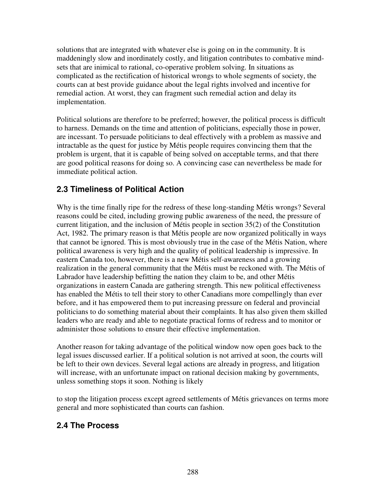solutions that are integrated with whatever else is going on in the community. It is maddeningly slow and inordinately costly, and litigation contributes to combative mindsets that are inimical to rational, co-operative problem solving. In situations as complicated as the rectification of historical wrongs to whole segments of society, the courts can at best provide guidance about the legal rights involved and incentive for remedial action. At worst, they can fragment such remedial action and delay its implementation.

Political solutions are therefore to be preferred; however, the political process is difficult to harness. Demands on the time and attention of politicians, especially those in power, are incessant. To persuade politicians to deal effectively with a problem as massive and intractable as the quest for justice by Métis people requires convincing them that the problem is urgent, that it is capable of being solved on acceptable terms, and that there are good political reasons for doing so. A convincing case can nevertheless be made for immediate political action.

# **2.3 Timeliness of Political Action**

Why is the time finally ripe for the redress of these long-standing Métis wrongs? Several reasons could be cited, including growing public awareness of the need, the pressure of current litigation, and the inclusion of Métis people in section 35(2) of the Constitution Act, 1982. The primary reason is that Métis people are now organized politically in ways that cannot be ignored. This is most obviously true in the case of the Métis Nation, where political awareness is very high and the quality of political leadership is impressive. In eastern Canada too, however, there is a new Métis self-awareness and a growing realization in the general community that the Métis must be reckoned with. The Métis of Labrador have leadership befitting the nation they claim to be, and other Métis organizations in eastern Canada are gathering strength. This new political effectiveness has enabled the Métis to tell their story to other Canadians more compellingly than ever before, and it has empowered them to put increasing pressure on federal and provincial politicians to do something material about their complaints. It has also given them skilled leaders who are ready and able to negotiate practical forms of redress and to monitor or administer those solutions to ensure their effective implementation.

Another reason for taking advantage of the political window now open goes back to the legal issues discussed earlier. If a political solution is not arrived at soon, the courts will be left to their own devices. Several legal actions are already in progress, and litigation will increase, with an unfortunate impact on rational decision making by governments, unless something stops it soon. Nothing is likely

to stop the litigation process except agreed settlements of Métis grievances on terms more general and more sophisticated than courts can fashion.

## **2.4 The Process**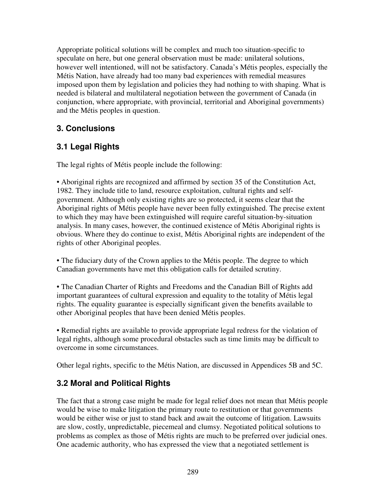Appropriate political solutions will be complex and much too situation-specific to speculate on here, but one general observation must be made: unilateral solutions, however well intentioned, will not be satisfactory. Canada's Métis peoples, especially the Métis Nation, have already had too many bad experiences with remedial measures imposed upon them by legislation and policies they had nothing to with shaping. What is needed is bilateral and multilateral negotiation between the government of Canada (in conjunction, where appropriate, with provincial, territorial and Aboriginal governments) and the Métis peoples in question.

# **3. Conclusions**

# **3.1 Legal Rights**

The legal rights of Métis people include the following:

• Aboriginal rights are recognized and affirmed by section 35 of the Constitution Act, 1982. They include title to land, resource exploitation, cultural rights and selfgovernment. Although only existing rights are so protected, it seems clear that the Aboriginal rights of Métis people have never been fully extinguished. The precise extent to which they may have been extinguished will require careful situation-by-situation analysis. In many cases, however, the continued existence of Métis Aboriginal rights is obvious. Where they do continue to exist, Métis Aboriginal rights are independent of the rights of other Aboriginal peoples.

• The fiduciary duty of the Crown applies to the Métis people. The degree to which Canadian governments have met this obligation calls for detailed scrutiny.

• The Canadian Charter of Rights and Freedoms and the Canadian Bill of Rights add important guarantees of cultural expression and equality to the totality of Métis legal rights. The equality guarantee is especially significant given the benefits available to other Aboriginal peoples that have been denied Métis peoples.

• Remedial rights are available to provide appropriate legal redress for the violation of legal rights, although some procedural obstacles such as time limits may be difficult to overcome in some circumstances.

Other legal rights, specific to the Métis Nation, are discussed in Appendices 5B and 5C.

# **3.2 Moral and Political Rights**

The fact that a strong case might be made for legal relief does not mean that Métis people would be wise to make litigation the primary route to restitution or that governments would be either wise or just to stand back and await the outcome of litigation. Lawsuits are slow, costly, unpredictable, piecemeal and clumsy. Negotiated political solutions to problems as complex as those of Métis rights are much to be preferred over judicial ones. One academic authority, who has expressed the view that a negotiated settlement is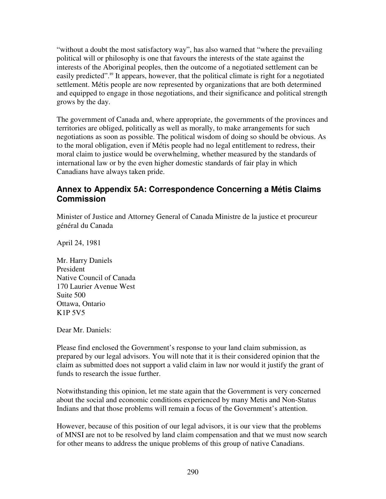"without a doubt the most satisfactory way", has also warned that "where the prevailing political will or philosophy is one that favours the interests of the state against the interests of the Aboriginal peoples, then the outcome of a negotiated settlement can be easily predicted".<sup>89</sup> It appears, however, that the political climate is right for a negotiated settlement. Métis people are now represented by organizations that are both determined and equipped to engage in those negotiations, and their significance and political strength grows by the day.

The government of Canada and, where appropriate, the governments of the provinces and territories are obliged, politically as well as morally, to make arrangements for such negotiations as soon as possible. The political wisdom of doing so should be obvious. As to the moral obligation, even if Métis people had no legal entitlement to redress, their moral claim to justice would be overwhelming, whether measured by the standards of international law or by the even higher domestic standards of fair play in which Canadians have always taken pride.

#### **Annex to Appendix 5A: Correspondence Concerning a Métis Claims Commission**

Minister of Justice and Attorney General of Canada Ministre de la justice et procureur général du Canada

April 24, 1981

Mr. Harry Daniels President Native Council of Canada 170 Laurier Avenue West Suite 500 Ottawa, Ontario K1P 5V5

Dear Mr. Daniels:

Please find enclosed the Government's response to your land claim submission, as prepared by our legal advisors. You will note that it is their considered opinion that the claim as submitted does not support a valid claim in law nor would it justify the grant of funds to research the issue further.

Notwithstanding this opinion, let me state again that the Government is very concerned about the social and economic conditions experienced by many Metis and Non-Status Indians and that those problems will remain a focus of the Government's attention.

However, because of this position of our legal advisors, it is our view that the problems of MNSI are not to be resolved by land claim compensation and that we must now search for other means to address the unique problems of this group of native Canadians.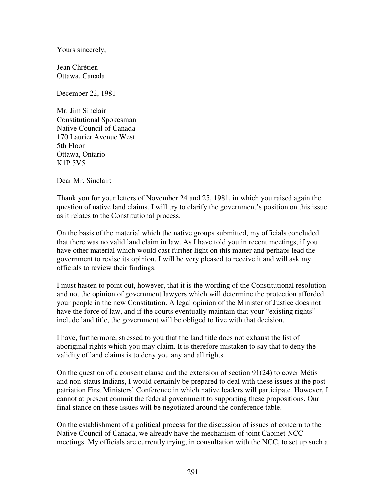Yours sincerely,

Jean Chrétien Ottawa, Canada

December 22, 1981

Mr. Jim Sinclair Constitutional Spokesman Native Council of Canada 170 Laurier Avenue West 5th Floor Ottawa, Ontario K1P 5V5

Dear Mr. Sinclair:

Thank you for your letters of November 24 and 25, 1981, in which you raised again the question of native land claims. I will try to clarify the government's position on this issue as it relates to the Constitutional process.

On the basis of the material which the native groups submitted, my officials concluded that there was no valid land claim in law. As I have told you in recent meetings, if you have other material which would cast further light on this matter and perhaps lead the government to revise its opinion, I will be very pleased to receive it and will ask my officials to review their findings.

I must hasten to point out, however, that it is the wording of the Constitutional resolution and not the opinion of government lawyers which will determine the protection afforded your people in the new Constitution. A legal opinion of the Minister of Justice does not have the force of law, and if the courts eventually maintain that your "existing rights" include land title, the government will be obliged to live with that decision.

I have, furthermore, stressed to you that the land title does not exhaust the list of aboriginal rights which you may claim. It is therefore mistaken to say that to deny the validity of land claims is to deny you any and all rights.

On the question of a consent clause and the extension of section 91(24) to cover Métis and non-status Indians, I would certainly be prepared to deal with these issues at the postpatriation First Ministers' Conference in which native leaders will participate. However, I cannot at present commit the federal government to supporting these propositions. Our final stance on these issues will be negotiated around the conference table.

On the establishment of a political process for the discussion of issues of concern to the Native Council of Canada, we already have the mechanism of joint Cabinet-NCC meetings. My officials are currently trying, in consultation with the NCC, to set up such a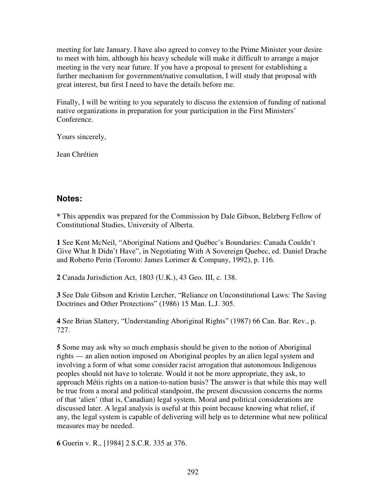meeting for late January. I have also agreed to convey to the Prime Minister your desire to meet with him, although his heavy schedule will make it difficult to arrange a major meeting in the very near future. If you have a proposal to present for establishing a further mechanism for government/native consultation, I will study that proposal with great interest, but first I need to have the details before me.

Finally, I will be writing to you separately to discuss the extension of funding of national native organizations in preparation for your participation in the First Ministers' Conference.

Yours sincerely,

Jean Chrétien

#### **Notes:**

**\*** This appendix was prepared for the Commission by Dale Gibson, Belzberg Fellow of Constitutional Studies, University of Alberta.

**1** See Kent McNeil, "Aboriginal Nations and Québec's Boundaries: Canada Couldn't Give What It Didn't Have", in Negotiating With A Sovereign Quebec, ed. Daniel Drache and Roberto Perin (Toronto: James Lorimer & Company, 1992), p. 116.

**2** Canada Jurisdiction Act, 1803 (U.K.), 43 Geo. III, c. 138.

**3** See Dale Gibson and Kristin Lercher, "Reliance on Unconstitutional Laws: The Saving Doctrines and Other Protections" (1986) 15 Man. L.J. 305.

**4** See Brian Slattery, "Understanding Aboriginal Rights" (1987) 66 Can. Bar. Rev., p. 727.

**5** Some may ask why so much emphasis should be given to the notion of Aboriginal rights — an alien notion imposed on Aboriginal peoples by an alien legal system and involving a form of what some consider racist arrogation that autonomous Indigenous peoples should not have to tolerate. Would it not be more appropriate, they ask, to approach Métis rights on a nation-to-nation basis? The answer is that while this may well be true from a moral and political standpoint, the present discussion concerns the norms of that 'alien' (that is, Canadian) legal system. Moral and political considerations are discussed later. A legal analysis is useful at this point because knowing what relief, if any, the legal system is capable of delivering will help us to determine what new political measures may be needed.

**6** Guerin v. R., [1984] 2 S.C.R. 335 at 376.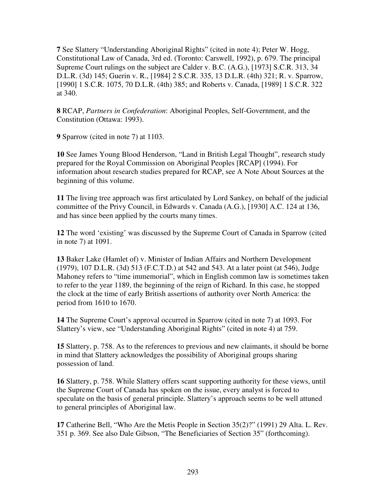**7** See Slattery "Understanding Aboriginal Rights" (cited in note 4); Peter W. Hogg, Constitutional Law of Canada, 3rd ed. (Toronto: Carswell, 1992), p. 679. The principal Supreme Court rulings on the subject are Calder v. B.C. (A.G.), [1973] S.C.R. 313, 34 D.L.R. (3d) 145; Guerin v. R., [1984] 2 S.C.R. 335, 13 D.L.R. (4th) 321; R. v. Sparrow, [1990] 1 S.C.R. 1075, 70 D.L.R. (4th) 385; and Roberts v. Canada, [1989] 1 S.C.R. 322 at 340.

**8** RCAP, *Partners in Confederation*: Aboriginal Peoples, Self-Government, and the Constitution (Ottawa: 1993).

**9** Sparrow (cited in note 7) at 1103.

**10** See James Young Blood Henderson, "Land in British Legal Thought", research study prepared for the Royal Commission on Aboriginal Peoples [RCAP] (1994). For information about research studies prepared for RCAP, see A Note About Sources at the beginning of this volume.

**11** The living tree approach was first articulated by Lord Sankey, on behalf of the judicial committee of the Privy Council, in Edwards v. Canada (A.G.), [1930] A.C. 124 at 136, and has since been applied by the courts many times.

**12** The word 'existing' was discussed by the Supreme Court of Canada in Sparrow (cited in note 7) at 1091.

**13** Baker Lake (Hamlet of) v. Minister of Indian Affairs and Northern Development (1979), 107 D.L.R. (3d) 513 (F.C.T.D.) at 542 and 543. At a later point (at 546), Judge Mahoney refers to "time immemorial", which in English common law is sometimes taken to refer to the year 1189, the beginning of the reign of Richard. In this case, he stopped the clock at the time of early British assertions of authority over North America: the period from 1610 to 1670.

**14** The Supreme Court's approval occurred in Sparrow (cited in note 7) at 1093. For Slattery's view, see "Understanding Aboriginal Rights" (cited in note 4) at 759.

**15** Slattery, p. 758. As to the references to previous and new claimants, it should be borne in mind that Slattery acknowledges the possibility of Aboriginal groups sharing possession of land.

**16** Slattery, p. 758. While Slattery offers scant supporting authority for these views, until the Supreme Court of Canada has spoken on the issue, every analyst is forced to speculate on the basis of general principle. Slattery's approach seems to be well attuned to general principles of Aboriginal law.

**17** Catherine Bell, "Who Are the Metis People in Section 35(2)?" (1991) 29 Alta. L. Rev. 351 p. 369. See also Dale Gibson, "The Beneficiaries of Section 35" (forthcoming).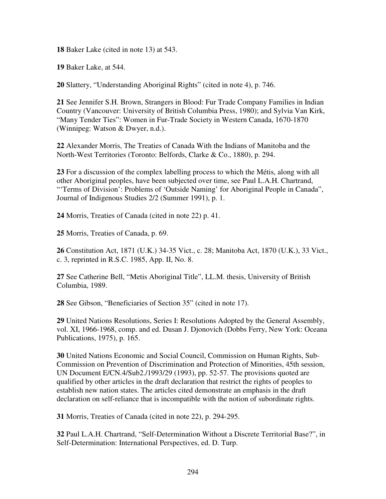**18** Baker Lake (cited in note 13) at 543.

**19** Baker Lake, at 544.

**20** Slattery, "Understanding Aboriginal Rights" (cited in note 4), p. 746.

**21** See Jennifer S.H. Brown, Strangers in Blood: Fur Trade Company Families in Indian Country (Vancouver: University of British Columbia Press, 1980); and Sylvia Van Kirk, "Many Tender Ties": Women in Fur-Trade Society in Western Canada, 1670-1870 (Winnipeg: Watson & Dwyer, n.d.).

**22** Alexander Morris, The Treaties of Canada With the Indians of Manitoba and the North-West Territories (Toronto: Belfords, Clarke & Co., 1880), p. 294.

**23** For a discussion of the complex labelling process to which the Métis, along with all other Aboriginal peoples, have been subjected over time, see Paul L.A.H. Chartrand, "Terms of Division': Problems of 'Outside Naming' for Aboriginal People in Canada", Journal of Indigenous Studies 2/2 (Summer 1991), p. 1.

**24** Morris, Treaties of Canada (cited in note 22) p. 41.

**25** Morris, Treaties of Canada, p. 69.

**26** Constitution Act, 1871 (U.K.) 34-35 Vict., c. 28; Manitoba Act, 1870 (U.K.), 33 Vict., c. 3, reprinted in R.S.C. 1985, App. II, No. 8.

**27** See Catherine Bell, "Metis Aboriginal Title", LL.M. thesis, University of British Columbia, 1989.

**28** See Gibson, "Beneficiaries of Section 35" (cited in note 17).

**29** United Nations Resolutions, Series I: Resolutions Adopted by the General Assembly, vol. XI, 1966-1968, comp. and ed. Dusan J. Djonovich (Dobbs Ferry, New York: Oceana Publications, 1975), p. 165.

**30** United Nations Economic and Social Council, Commission on Human Rights, Sub-Commission on Prevention of Discrimination and Protection of Minorities, 45th session, UN Document E/CN.4/Sub2./1993/29 (1993), pp. 52-57. The provisions quoted are qualified by other articles in the draft declaration that restrict the rights of peoples to establish new nation states. The articles cited demonstrate an emphasis in the draft declaration on self-reliance that is incompatible with the notion of subordinate rights.

**31** Morris, Treaties of Canada (cited in note 22), p. 294-295.

**32** Paul L.A.H. Chartrand, "Self-Determination Without a Discrete Territorial Base?", in Self-Determination: International Perspectives, ed. D. Turp.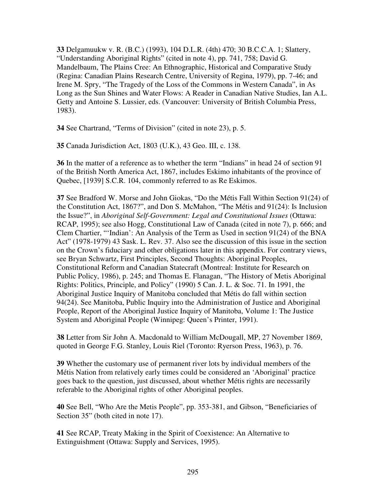**33** Delgamuukw v. R. (B.C.) (1993), 104 D.L.R. (4th) 470; 30 B.C.C.A. 1; Slattery, "Understanding Aboriginal Rights" (cited in note 4), pp. 741, 758; David G. Mandelbaum, The Plains Cree: An Ethnographic, Historical and Comparative Study (Regina: Canadian Plains Research Centre, University of Regina, 1979), pp. 7-46; and Irene M. Spry, "The Tragedy of the Loss of the Commons in Western Canada", in As Long as the Sun Shines and Water Flows: A Reader in Canadian Native Studies, Ian A.L. Getty and Antoine S. Lussier, eds. (Vancouver: University of British Columbia Press, 1983).

**34** See Chartrand, "Terms of Division" (cited in note 23), p. 5.

**35** Canada Jurisdiction Act, 1803 (U.K.), 43 Geo. III, c. 138.

**36** In the matter of a reference as to whether the term "Indians" in head 24 of section 91 of the British North America Act, 1867, includes Eskimo inhabitants of the province of Quebec, [1939] S.C.R. 104, commonly referred to as Re Eskimos.

**37** See Bradford W. Morse and John Giokas, "Do the Métis Fall Within Section 91(24) of the Constitution Act, 1867?", and Don S. McMahon, "The Métis and 91(24): Is Inclusion the Issue?", in *Aboriginal Self-Government: Legal and Constitutional Issues* (Ottawa: RCAP, 1995); see also Hogg, Constitutional Law of Canada (cited in note 7), p. 666; and Clem Chartier, "'Indian': An Analysis of the Term as Used in section 91(24) of the BNA Act" (1978-1979) 43 Sask. L. Rev. 37. Also see the discussion of this issue in the section on the Crown's fiduciary and other obligations later in this appendix. For contrary views, see Bryan Schwartz, First Principles, Second Thoughts: Aboriginal Peoples, Constitutional Reform and Canadian Statecraft (Montreal: Institute for Research on Public Policy, 1986), p. 245; and Thomas E. Flanagan, "The History of Metis Aboriginal Rights: Politics, Principle, and Policy" (1990) 5 Can. J. L. & Soc. 71. In 1991, the Aboriginal Justice Inquiry of Manitoba concluded that Métis do fall within section 94(24). See Manitoba, Public Inquiry into the Administration of Justice and Aboriginal People, Report of the Aboriginal Justice Inquiry of Manitoba, Volume 1: The Justice System and Aboriginal People (Winnipeg: Queen's Printer, 1991).

**38** Letter from Sir John A. Macdonald to William McDougall, MP, 27 November 1869, quoted in George F.G. Stanley, Louis Riel (Toronto: Ryerson Press, 1963), p. 76.

**39** Whether the customary use of permanent river lots by individual members of the Métis Nation from relatively early times could be considered an 'Aboriginal' practice goes back to the question, just discussed, about whether Métis rights are necessarily referable to the Aboriginal rights of other Aboriginal peoples.

**40** See Bell, "Who Are the Metis People", pp. 353-381, and Gibson, "Beneficiaries of Section 35" (both cited in note 17).

**41** See RCAP, Treaty Making in the Spirit of Coexistence: An Alternative to Extinguishment (Ottawa: Supply and Services, 1995).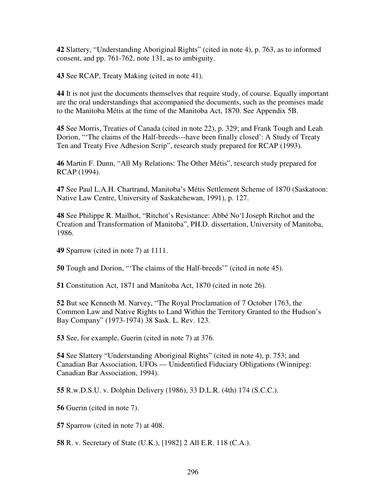**42** Slattery, "Understanding Aboriginal Rights" (cited in note 4), p. 763, as to informed consent, and pp. 761-762, note 131, as to ambiguity.

**43** See RCAP, Treaty Making (cited in note 41).

**44** It is not just the documents themselves that require study, of course. Equally important are the oral understandings that accompanied the documents, such as the promises made to the Manitoba Métis at the time of the Manitoba Act, 1870. See Appendix 5B.

**45** See Morris, Treaties of Canada (cited in note 22), p. 329; and Frank Tough and Leah Dorion, "'The claims of the Half-breeds---have been finally closed': A Study of Treaty Ten and Treaty Five Adhesion Scrip", research study prepared for RCAP (1993).

**46** Martin F. Dunn, "All My Relations: The Other Métis", research study prepared for RCAP (1994).

**47** See Paul L.A.H. Chartrand, Manitoba's Métis Settlement Scheme of 1870 (Saskatoon: Native Law Centre, University of Saskatchewan, 1991), p. 127.

**48** See Philippe R. Mailhot, "Ritchot's Resistance: Abbé No'l Joseph Ritchot and the Creation and Transformation of Manitoba", PH.D. dissertation, University of Manitoba, 1986.

**49** Sparrow (cited in note 7) at 1111.

**50** Tough and Dorion, "'The claims of the Half-breeds'" (cited in note 45).

**51** Constitution Act, 1871 and Manitoba Act, 1870 (cited in note 26).

**52** But see Kenneth M. Narvey, "The Royal Proclamation of 7 October 1763, the Common Law and Native Rights to Land Within the Territory Granted to the Hudson's Bay Company" (1973-1974) 38 Sask. L. Rev. 123.

**53** See, for example, Guerin (cited in note 7) at 376.

**54** See Slattery "Understanding Aboriginal Rights" (cited in note 4), p. 753; and Canadian Bar Association, UFOs — Unidentified Fiduciary Obligations (Winnipeg: Canadian Bar Association, 1994).

**55** R.w.D.S.U. v. Dolphin Delivery (1986), 33 D.L.R. (4th) 174 (S.C.C.).

**56** Guerin (cited in note 7).

**57** Sparrow (cited in note 7) at 408.

**58** R. v. Secretary of State (U.K.), [1982] 2 All E.R. 118 (C.A.).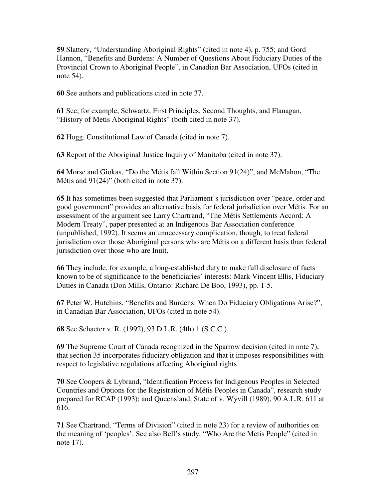**59** Slattery, "Understanding Aboriginal Rights" (cited in note 4), p. 755; and Gord Hannon, "Benefits and Burdens: A Number of Questions About Fiduciary Duties of the Provincial Crown to Aboriginal People", in Canadian Bar Association, UFOs (cited in note 54).

**60** See authors and publications cited in note 37.

**61** See, for example, Schwartz, First Principles, Second Thoughts, and Flanagan, "History of Metis Aboriginal Rights" (both cited in note 37).

**62** Hogg, Constitutional Law of Canada (cited in note 7).

**63** Report of the Aboriginal Justice Inquiry of Manitoba (cited in note 37).

**64** Morse and Giokas, "Do the Métis fall Within Section 91(24)", and McMahon, "The Métis and 91(24)" (both cited in note 37).

**65** It has sometimes been suggested that Parliament's jurisdiction over "peace, order and good government" provides an alternative basis for federal jurisdiction over Métis. For an assessment of the argument see Larry Chartrand, "The Métis Settlements Accord: A Modern Treaty", paper presented at an Indigenous Bar Association conference (unpublished, 1992). It seems an unnecessary complication, though, to treat federal jurisdiction over those Aboriginal persons who are Métis on a different basis than federal jurisdiction over those who are Inuit.

**66** They include, for example, a long-established duty to make full disclosure of facts known to be of significance to the beneficiaries' interests: Mark Vincent Ellis, Fiduciary Duties in Canada (Don Mills, Ontario: Richard De Boo, 1993), pp. 1-5.

**67** Peter W. Hutchins, "Benefits and Burdens: When Do Fiduciary Obligations Arise?", in Canadian Bar Association, UFOs (cited in note 54).

**68** See Schacter v. R. (1992), 93 D.L.R. (4th) 1 (S.C.C.).

**69** The Supreme Court of Canada recognized in the Sparrow decision (cited in note 7), that section 35 incorporates fiduciary obligation and that it imposes responsibilities with respect to legislative regulations affecting Aboriginal rights.

**70** See Coopers & Lybrand, "Identification Process for Indigenous Peoples in Selected Countries and Options for the Registration of Métis Peoples in Canada", research study prepared for RCAP (1993); and Queensland, State of v. Wyvill (1989), 90 A.L.R. 611 at 616.

**71** See Chartrand, "Terms of Division" (cited in note 23) for a review of authorities on the meaning of 'peoples'. See also Bell's study, "Who Are the Metis People" (cited in note 17).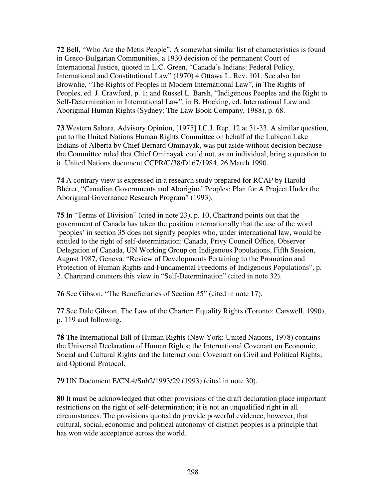**72** Bell, "Who Are the Metis People". A somewhat similar list of characteristics is found in Greco-Bulgarian Communities, a 1930 decision of the permanent Court of International Justice, quoted in L.C. Green, "Canada's Indians: Federal Policy, International and Constitutional Law" (1970) 4 Ottawa L. Rev. 101. See also Ian Brownlie, "The Rights of Peoples in Modern International Law", in The Rights of Peoples, ed. J. Crawford, p. 1; and Russel L. Barsh, "Indigenous Peoples and the Right to Self-Determination in International Law", in B. Hocking, ed. International Law and Aboriginal Human Rights (Sydney: The Law Book Company, 1988), p. 68.

**73** Western Sahara, Advisory Opinion, [1975] I.C.J. Rep. 12 at 31-33. A similar question, put to the United Nations Human Rights Committee on behalf of the Lubicon Lake Indians of Alberta by Chief Bernard Ominayak, was put aside without decision because the Committee ruled that Chief Ominayak could not, as an individual, bring a question to it. United Nations document CCPR/C/38/D167/1984, 26 March 1990.

**74** A contrary view is expressed in a research study prepared for RCAP by Harold Bhérer, "Canadian Governments and Aboriginal Peoples: Plan for A Project Under the Aboriginal Governance Research Program" (1993).

**75** In "Terms of Division" (cited in note 23), p. 10, Chartrand points out that the government of Canada has taken the position internationally that the use of the word 'peoples' in section 35 does not signify peoples who, under international law, would be entitled to the right of self-determination: Canada, Privy Council Office, Observer Delegation of Canada, UN Working Group on Indigenous Populations, Fifth Session, August 1987, Geneva. "Review of Developments Pertaining to the Promotion and Protection of Human Rights and Fundamental Freedoms of Indigenous Populations", p. 2. Chartrand counters this view in "Self-Determination" (cited in note 32).

**76** See Gibson, "The Beneficiaries of Section 35" (cited in note 17).

**77** See Dale Gibson, The Law of the Charter: Equality Rights (Toronto: Carswell, 1990), p. 119 and following.

**78** The International Bill of Human Rights (New York: United Nations, 1978) contains the Universal Declaration of Human Rights; the International Covenant on Economic, Social and Cultural Rights and the International Covenant on Civil and Political Rights; and Optional Protocol.

**79** UN Document E/CN.4/Sub2/1993/29 (1993) (cited in note 30).

**80** It must be acknowledged that other provisions of the draft declaration place important restrictions on the right of self-determination; it is not an unqualified right in all circumstances. The provisions quoted do provide powerful evidence, however, that cultural, social, economic and political autonomy of distinct peoples is a principle that has won wide acceptance across the world.